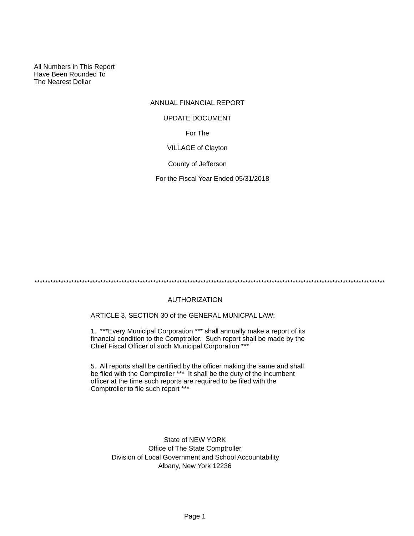All Numbers in This Report Have Been Rounded To The Nearest Dollar

# ANNUAL FINANCIAL REPORT For The VILLAGE of Clayton County of Jefferson UPDATE DOCUMENT

For the Fiscal Year Ended 05/31/2018

\*\*\*\*\*\*\*\*\*\*\*\*\*\*\*\*\*\*\*\*\*\*\*\*\*\*\*\*\*\*\*\*\*\*\*\*\*\*\*\*\*\*\*\*\*\*\*\*\*\*\*\*\*\*\*\*\*\*\*\*\*\*\*\*\*\*\*\*\*\*\*\*\*\*\*\*\*\*\*\*\*\*\*\*\*\*\*\*\*\*\*\*\*\*\*\*\*\*\*\*\*\*\*\*\*\*\*\*\*\*\*\*\*\*\*\*\*\*\*\*\*\*\*\*\*\*\*\*\*\*\*\*\*

# AUTHORIZATION

ARTICLE 3, SECTION 30 of the GENERAL MUNICPAL LAW:

1. \*\*\*Every Municipal Corporation \*\*\* shall annually make a report of its financial condition to the Comptroller. Such report shall be made by the Chief Fiscal Officer of such Municipal Corporation \*\*\*

5. All reports shall be certified by the officer making the same and shall be filed with the Comptroller \*\*\* It shall be the duty of the incumbent officer at the time such reports are required to be filed with the Comptroller to file such report \*\*\*

State of NEW YORK Office of The State Comptroller Division of Local Government and School Accountability Albany, New York 12236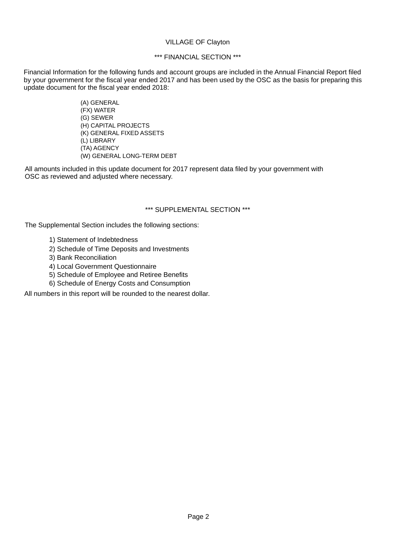#### VILLAGE OF Clayton

# \*\*\* FINANCIAL SECTION \*\*\*

Financial Information for the following funds and account groups are included in the Annual Financial Report filed by your government for the fiscal year ended 2017 and has been used by the OSC as the basis for preparing this update document for the fiscal year ended 2018:

> (A) GENERAL (FX) WATER (G) SEWER (H) CAPITAL PROJECTS (K) GENERAL FIXED ASSETS (L) LIBRARY (TA) AGENCY (W) GENERAL LONG-TERM DEBT

All amounts included in this update document for 2017 represent data filed by your government with OSC as reviewed and adjusted where necessary.

# \*\*\* SUPPLEMENTAL SECTION \*\*\*

The Supplemental Section includes the following sections:

- 1) Statement of Indebtedness
- 2) Schedule of Time Deposits and Investments
- 3) Bank Reconciliation
- 4) Local Government Questionnaire
- 5) Schedule of Employee and Retiree Benefits
- 6) Schedule of Energy Costs and Consumption

All numbers in this report will be rounded to the nearest dollar.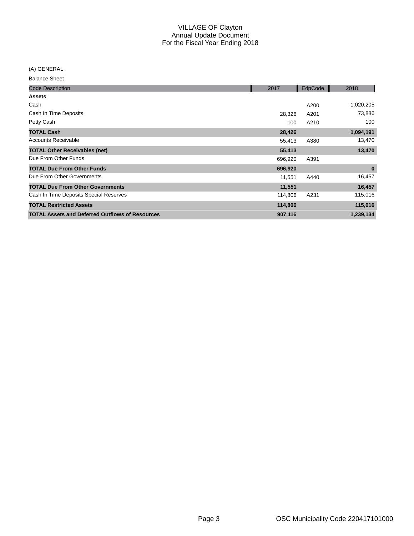(A) GENERAL

| <b>Code Description</b>                                | 2017    | EdpCode | 2018      |
|--------------------------------------------------------|---------|---------|-----------|
| <b>Assets</b>                                          |         |         |           |
| Cash                                                   |         | A200    | 1,020,205 |
| Cash In Time Deposits                                  | 28,326  | A201    | 73,886    |
| Petty Cash                                             | 100     | A210    | 100       |
| <b>TOTAL Cash</b>                                      | 28,426  |         | 1,094,191 |
| <b>Accounts Receivable</b>                             | 55,413  | A380    | 13,470    |
| <b>TOTAL Other Receivables (net)</b>                   | 55,413  |         | 13,470    |
| Due From Other Funds                                   | 696,920 | A391    |           |
| <b>TOTAL Due From Other Funds</b>                      | 696,920 |         | $\bf{0}$  |
| Due From Other Governments                             | 11,551  | A440    | 16,457    |
| <b>TOTAL Due From Other Governments</b>                | 11,551  |         | 16,457    |
| Cash In Time Deposits Special Reserves                 | 114,806 | A231    | 115,016   |
| <b>TOTAL Restricted Assets</b>                         | 114,806 |         | 115,016   |
| <b>TOTAL Assets and Deferred Outflows of Resources</b> | 907,116 |         | 1,239,134 |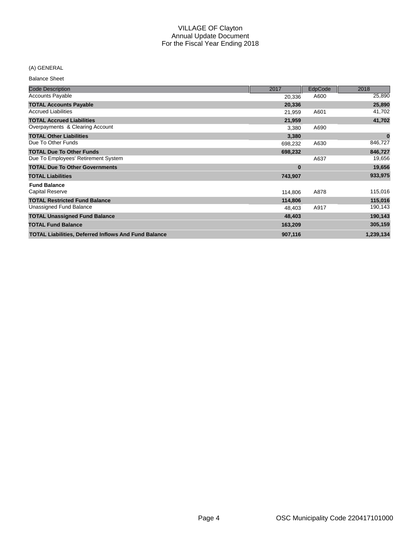# (A) GENERAL

| <b>Code Description</b>                                     | 2017     | EdpCode | 2018      |
|-------------------------------------------------------------|----------|---------|-----------|
| <b>Accounts Payable</b>                                     | 20,336   | A600    | 25,890    |
| <b>TOTAL Accounts Payable</b>                               | 20,336   |         | 25,890    |
| <b>Accrued Liabilities</b>                                  | 21,959   | A601    | 41,702    |
| <b>TOTAL Accrued Liabilities</b>                            | 21,959   |         | 41,702    |
| Overpayments & Clearing Account                             | 3,380    | A690    |           |
| <b>TOTAL Other Liabilities</b>                              | 3,380    |         | $\bf{0}$  |
| Due To Other Funds                                          | 698,232  | A630    | 846,727   |
| <b>TOTAL Due To Other Funds</b>                             | 698,232  |         | 846,727   |
| Due To Employees' Retirement System                         |          | A637    | 19,656    |
| <b>TOTAL Due To Other Governments</b>                       | $\bf{0}$ |         | 19,656    |
| <b>TOTAL Liabilities</b>                                    | 743,907  |         | 933,975   |
| <b>Fund Balance</b>                                         |          |         |           |
| <b>Capital Reserve</b>                                      | 114,806  | A878    | 115,016   |
| <b>TOTAL Restricted Fund Balance</b>                        | 114,806  |         | 115,016   |
| Unassigned Fund Balance                                     | 48,403   | A917    | 190,143   |
| <b>TOTAL Unassigned Fund Balance</b>                        | 48,403   |         | 190,143   |
| <b>TOTAL Fund Balance</b>                                   | 163,209  |         | 305,159   |
| <b>TOTAL Liabilities, Deferred Inflows And Fund Balance</b> | 907,116  |         | 1,239,134 |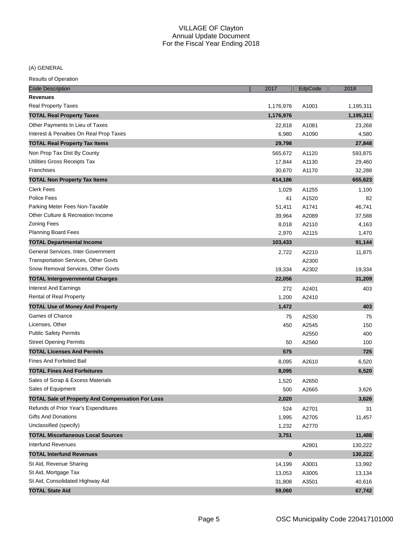(A) GENERAL

| <b>Code Description</b>                                 | 2017      | EdpCode | 2018      |
|---------------------------------------------------------|-----------|---------|-----------|
| <b>Revenues</b>                                         |           |         |           |
| <b>Real Property Taxes</b>                              | 1,176,976 | A1001   | 1,195,311 |
| <b>TOTAL Real Property Taxes</b>                        | 1,176,976 |         | 1,195,311 |
| Other Payments In Lieu of Taxes                         | 22,818    | A1081   | 23,268    |
| Interest & Penalties On Real Prop Taxes                 | 6,980     | A1090   | 4,580     |
| <b>TOTAL Real Property Tax Items</b>                    | 29,798    |         | 27,848    |
| Non Prop Tax Dist By County                             | 565,672   | A1120   | 593,875   |
| Utilities Gross Receipts Tax                            | 17,844    | A1130   | 29,460    |
| Franchises                                              | 30,670    | A1170   | 32,288    |
| <b>TOTAL Non Property Tax Items</b>                     | 614,186   |         | 655,623   |
| <b>Clerk Fees</b>                                       | 1,029     | A1255   | 1,100     |
| Police Fees                                             | 41        | A1520   | 82        |
| Parking Meter Fees Non-Taxable                          | 51,411    | A1741   | 46,741    |
| Other Culture & Recreation Income                       | 39,964    | A2089   | 37,588    |
| <b>Zoning Fees</b>                                      | 8,018     | A2110   | 4,163     |
| <b>Planning Board Fees</b>                              | 2,970     | A2115   | 1,470     |
| <b>TOTAL Departmental Income</b>                        | 103,433   |         | 91,144    |
| General Services, Inter Government                      | 2,722     | A2210   | 11,875    |
| <b>Transportation Services, Other Govts</b>             |           | A2300   |           |
| Snow Removal Services, Other Govts                      | 19,334    | A2302   | 19,334    |
| <b>TOTAL Intergovernmental Charges</b>                  | 22,056    |         | 31,209    |
| Interest And Earnings                                   | 272       | A2401   | 403       |
| Rental of Real Property                                 | 1,200     | A2410   |           |
| <b>TOTAL Use of Money And Property</b>                  | 1,472     |         | 403       |
| Games of Chance                                         | 75        | A2530   | 75        |
| Licenses, Other                                         | 450       | A2545   | 150       |
| <b>Public Safety Permits</b>                            |           | A2550   | 400       |
| <b>Street Opening Permits</b>                           | 50        | A2560   | 100       |
| <b>TOTAL Licenses And Permits</b>                       | 575       |         | 725       |
| <b>Fines And Forfeited Bail</b>                         | 8,095     | A2610   | 6,520     |
| <b>TOTAL Fines And Forfeitures</b>                      | 8,095     |         | 6,520     |
| Sales of Scrap & Excess Materials                       | 1,520     | A2650   |           |
| Sales of Equipment                                      | 500       | A2665   | 3,626     |
| <b>TOTAL Sale of Property And Compensation For Loss</b> | 2,020     |         | 3,626     |
| Refunds of Prior Year's Expenditures                    | 524       | A2701   | 31        |
| <b>Gifts And Donations</b>                              | 1,995     | A2705   | 11,457    |
| Unclassified (specify)                                  | 1,232     | A2770   |           |
| <b>TOTAL Miscellaneous Local Sources</b>                | 3,751     |         | 11,488    |
| Interfund Revenues                                      |           | A2801   | 130,222   |
| <b>TOTAL Interfund Revenues</b>                         | $\bf{0}$  |         | 130,222   |
| St Aid, Revenue Sharing                                 | 14,199    | A3001   | 13,992    |
| St Aid, Mortgage Tax                                    | 13,053    | A3005   | 13,134    |
| St Aid, Consolidated Highway Aid                        | 31,808    | A3501   | 40,616    |
| <b>TOTAL State Aid</b>                                  | 59,060    |         | 67,742    |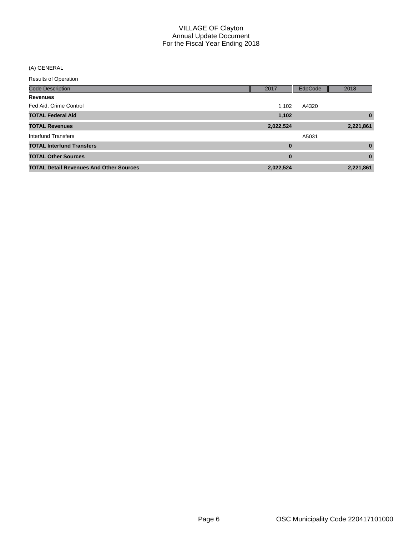(A) GENERAL

| <b>Results of Operation</b> |  |
|-----------------------------|--|
|-----------------------------|--|

| <b>Code Description</b>                        | 2017             | EdpCode | 2018         |
|------------------------------------------------|------------------|---------|--------------|
| <b>Revenues</b>                                |                  |         |              |
| Fed Aid, Crime Control                         | 1,102            | A4320   |              |
| <b>TOTAL Federal Aid</b>                       | 1,102            |         | $\bf{0}$     |
| <b>TOTAL Revenues</b>                          | 2,022,524        |         | 2,221,861    |
| Interfund Transfers                            |                  | A5031   |              |
| <b>TOTAL Interfund Transfers</b>               | $\bf{0}$         |         | $\bf{0}$     |
| <b>TOTAL Other Sources</b>                     | $\boldsymbol{0}$ |         | $\mathbf{0}$ |
| <b>TOTAL Detail Revenues And Other Sources</b> | 2,022,524        |         | 2,221,861    |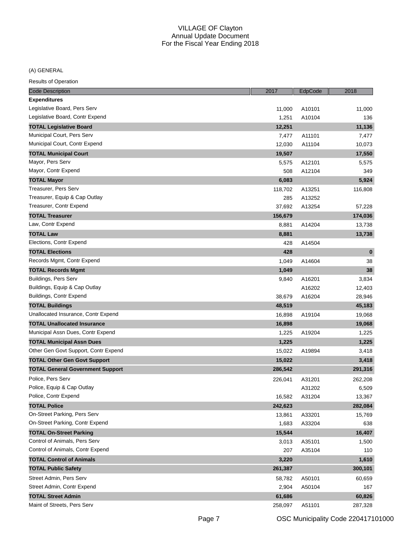# (A) GENERAL

| <b>Code Description</b>                 | 2017    | EdpCode | 2018      |
|-----------------------------------------|---------|---------|-----------|
| <b>Expenditures</b>                     |         |         |           |
| Legislative Board, Pers Serv            | 11,000  | A10101  | 11,000    |
| Legislative Board, Contr Expend         | 1,251   | A10104  | 136       |
| <b>TOTAL Legislative Board</b>          | 12,251  |         | 11,136    |
| Municipal Court, Pers Serv              | 7,477   | A11101  | 7,477     |
| Municipal Court, Contr Expend           | 12,030  | A11104  | 10,073    |
| <b>TOTAL Municipal Court</b>            | 19,507  |         | 17,550    |
| Mayor, Pers Serv                        | 5,575   | A12101  | 5,575     |
| Mayor, Contr Expend                     | 508     | A12104  | 349       |
| <b>TOTAL Mayor</b>                      | 6,083   |         | 5,924     |
| Treasurer, Pers Serv                    | 118,702 | A13251  | 116,808   |
| Treasurer, Equip & Cap Outlay           | 285     | A13252  |           |
| Treasurer, Contr Expend                 | 37,692  | A13254  | 57,228    |
| <b>TOTAL Treasurer</b>                  | 156,679 |         | 174,036   |
| Law, Contr Expend                       | 8,881   | A14204  | 13,738    |
| <b>TOTAL Law</b>                        | 8,881   |         | 13,738    |
| Elections, Contr Expend                 | 428     | A14504  |           |
| <b>TOTAL Elections</b>                  | 428     |         | $\pmb{0}$ |
| Records Mgmt, Contr Expend              | 1,049   | A14604  | 38        |
| <b>TOTAL Records Mgmt</b>               | 1,049   |         | 38        |
| Buildings, Pers Serv                    | 9,840   | A16201  | 3,834     |
| Buildings, Equip & Cap Outlay           |         | A16202  | 12,403    |
| Buildings, Contr Expend                 | 38,679  | A16204  | 28,946    |
| <b>TOTAL Buildings</b>                  | 48,519  |         | 45,183    |
| Unallocated Insurance, Contr Expend     | 16,898  | A19104  | 19,068    |
| <b>TOTAL Unallocated Insurance</b>      | 16,898  |         | 19,068    |
| Municipal Assn Dues, Contr Expend       | 1,225   | A19204  | 1,225     |
| <b>TOTAL Municipal Assn Dues</b>        | 1,225   |         | 1,225     |
| Other Gen Govt Support, Contr Expend    | 15,022  | A19894  | 3,418     |
| <b>TOTAL Other Gen Govt Support</b>     | 15,022  |         | 3,418     |
| <b>TOTAL General Government Support</b> | 286,542 |         | 291,316   |
| Police, Pers Serv                       | 226,041 | A31201  | 262,208   |
| Police, Equip & Cap Outlay              |         | A31202  | 6,509     |
| Police, Contr Expend                    | 16,582  | A31204  | 13,367    |
| <b>TOTAL Police</b>                     | 242,623 |         | 282,084   |
| On-Street Parking, Pers Serv            | 13,861  | A33201  | 15,769    |
| On-Street Parking, Contr Expend         | 1,683   | A33204  | 638       |
| <b>TOTAL On-Street Parking</b>          | 15,544  |         | 16,407    |
| Control of Animals, Pers Serv           | 3,013   | A35101  | 1,500     |
| Control of Animals, Contr Expend        | 207     | A35104  | 110       |
| <b>TOTAL Control of Animals</b>         | 3,220   |         | 1,610     |
| <b>TOTAL Public Safety</b>              | 261,387 |         | 300,101   |
| Street Admin, Pers Serv                 | 58,782  | A50101  | 60,659    |
| Street Admin, Contr Expend              | 2,904   | A50104  | 167       |
| <b>TOTAL Street Admin</b>               | 61,686  |         | 60,826    |
| Maint of Streets, Pers Serv             | 258,097 | A51101  | 287,328   |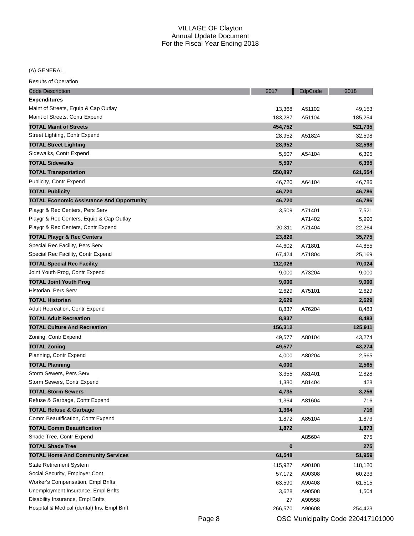# (A) GENERAL

| <b>Code Description</b>                                                | 2017     | EdpCode | 2018    |
|------------------------------------------------------------------------|----------|---------|---------|
| <b>Expenditures</b>                                                    |          |         |         |
| Maint of Streets, Equip & Cap Outlay                                   | 13,368   | A51102  | 49,153  |
| Maint of Streets, Contr Expend                                         | 183,287  | A51104  | 185,254 |
| <b>TOTAL Maint of Streets</b>                                          | 454,752  |         | 521,735 |
| Street Lighting, Contr Expend                                          | 28,952   | A51824  | 32,598  |
| <b>TOTAL Street Lighting</b>                                           | 28,952   |         | 32,598  |
| Sidewalks, Contr Expend                                                | 5,507    | A54104  | 6,395   |
| <b>TOTAL Sidewalks</b>                                                 | 5,507    |         | 6,395   |
| <b>TOTAL Transportation</b>                                            | 550,897  |         | 621,554 |
| Publicity, Contr Expend                                                | 46,720   | A64104  | 46,786  |
| <b>TOTAL Publicity</b>                                                 | 46,720   |         | 46,786  |
| <b>TOTAL Economic Assistance And Opportunity</b>                       | 46,720   |         | 46,786  |
| Playgr & Rec Centers, Pers Serv                                        | 3,509    | A71401  | 7,521   |
| Playgr & Rec Centers, Equip & Cap Outlay                               |          | A71402  | 5,990   |
| Playgr & Rec Centers, Contr Expend                                     | 20,311   | A71404  | 22,264  |
| <b>TOTAL Playgr &amp; Rec Centers</b>                                  | 23,820   |         | 35,775  |
| Special Rec Facility, Pers Serv                                        | 44,602   | A71801  | 44,855  |
| Special Rec Facility, Contr Expend                                     | 67,424   | A71804  | 25,169  |
| <b>TOTAL Special Rec Facility</b>                                      | 112,026  |         | 70,024  |
| Joint Youth Prog, Contr Expend                                         | 9,000    | A73204  | 9,000   |
| <b>TOTAL Joint Youth Prog</b>                                          | 9,000    |         | 9,000   |
| Historian, Pers Serv                                                   | 2,629    | A75101  | 2,629   |
| <b>TOTAL Historian</b>                                                 | 2,629    |         | 2,629   |
| Adult Recreation, Contr Expend                                         | 8,837    | A76204  | 8,483   |
| <b>TOTAL Adult Recreation</b>                                          | 8,837    |         | 8,483   |
| <b>TOTAL Culture And Recreation</b>                                    | 156,312  |         | 125,911 |
| Zoning, Contr Expend                                                   |          |         |         |
|                                                                        | 49,577   | A80104  | 43,274  |
| <b>TOTAL Zoning</b>                                                    | 49,577   |         | 43,274  |
| Planning, Contr Expend                                                 | 4,000    | A80204  | 2,565   |
| <b>TOTAL Planning</b>                                                  | 4,000    |         | 2,565   |
| Storm Sewers, Pers Serv<br>Storm Sewers, Contr Expend                  | 3,355    | A81401  | 2,828   |
|                                                                        | 1,380    | A81404  | 428     |
| <b>TOTAL Storm Sewers</b>                                              | 4,735    |         | 3,256   |
| Refuse & Garbage, Contr Expend                                         | 1,364    | A81604  | 716     |
| <b>TOTAL Refuse &amp; Garbage</b><br>Comm Beautification, Contr Expend | 1,364    |         | 716     |
|                                                                        | 1,872    | A85104  | 1,873   |
| <b>TOTAL Comm Beautification</b>                                       | 1,872    |         | 1,873   |
| Shade Tree, Contr Expend                                               |          | A85604  | 275     |
| <b>TOTAL Shade Tree</b>                                                | $\bf{0}$ |         | 275     |
| <b>TOTAL Home And Community Services</b>                               | 61,548   |         | 51,959  |
| State Retirement System                                                | 115,927  | A90108  | 118,120 |
| Social Security, Employer Cont                                         | 57,172   | A90308  | 60,233  |
| Worker's Compensation, Empl Bnfts                                      | 63,590   | A90408  | 61,515  |
| Unemployment Insurance, Empl Bnfts                                     | 3,628    | A90508  | 1,504   |
| Disability Insurance, Empl Bnfts                                       | 27       | A90558  |         |
| Hospital & Medical (dental) Ins, Empl Bnft                             | 266,570  | A90608  | 254,423 |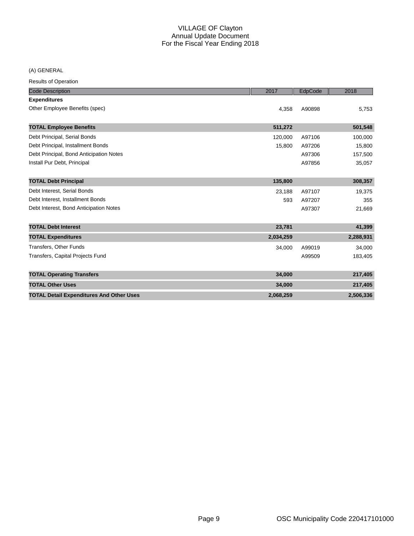(A) GENERAL

|  | <b>Results of Operation</b> |
|--|-----------------------------|
|  |                             |

| <b>Code Description</b>                         | 2017      | EdpCode | 2018      |
|-------------------------------------------------|-----------|---------|-----------|
| <b>Expenditures</b>                             |           |         |           |
| Other Employee Benefits (spec)                  | 4,358     | A90898  | 5,753     |
| <b>TOTAL Employee Benefits</b>                  | 511,272   |         | 501,548   |
| Debt Principal, Serial Bonds                    | 120,000   | A97106  | 100,000   |
| Debt Principal, Installment Bonds               | 15,800    | A97206  | 15,800    |
| Debt Principal, Bond Anticipation Notes         |           | A97306  | 157,500   |
| Install Pur Debt, Principal                     |           | A97856  | 35,057    |
| <b>TOTAL Debt Principal</b>                     | 135,800   |         | 308,357   |
| Debt Interest, Serial Bonds                     | 23,188    | A97107  | 19,375    |
| Debt Interest, Installment Bonds                | 593       | A97207  | 355       |
| Debt Interest, Bond Anticipation Notes          |           | A97307  | 21,669    |
| <b>TOTAL Debt Interest</b>                      | 23,781    |         | 41,399    |
| <b>TOTAL Expenditures</b>                       | 2,034,259 |         | 2,288,931 |
| Transfers, Other Funds                          | 34,000    | A99019  | 34,000    |
| <b>Transfers, Capital Projects Fund</b>         |           | A99509  | 183,405   |
| <b>TOTAL Operating Transfers</b>                | 34,000    |         | 217,405   |
| <b>TOTAL Other Uses</b>                         | 34,000    |         | 217,405   |
| <b>TOTAL Detail Expenditures And Other Uses</b> | 2,068,259 |         | 2,506,336 |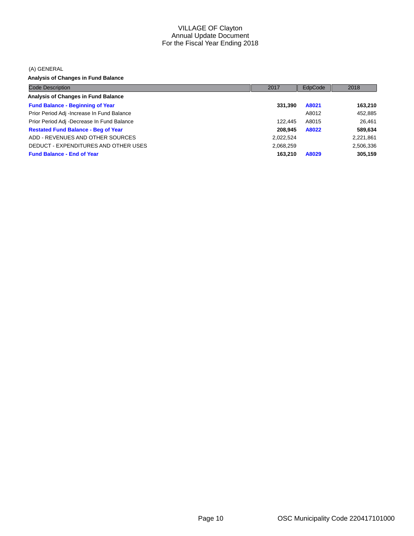(A) GENERAL

**Analysis of Changes in Fund Balance**

| <b>Code Description</b>                     | 2017      | EdpCode | 2018      |
|---------------------------------------------|-----------|---------|-----------|
| Analysis of Changes in Fund Balance         |           |         |           |
| <b>Fund Balance - Beginning of Year</b>     | 331,390   | A8021   | 163,210   |
| Prior Period Adj - Increase In Fund Balance |           | A8012   | 452,885   |
| Prior Period Adj -Decrease In Fund Balance  | 122.445   | A8015   | 26.461    |
| <b>Restated Fund Balance - Beg of Year</b>  | 208.945   | A8022   | 589,634   |
| ADD - REVENUES AND OTHER SOURCES            | 2,022,524 |         | 2,221,861 |
| DEDUCT - EXPENDITURES AND OTHER USES        | 2,068,259 |         | 2,506,336 |
| <b>Fund Balance - End of Year</b>           | 163.210   | A8029   | 305,159   |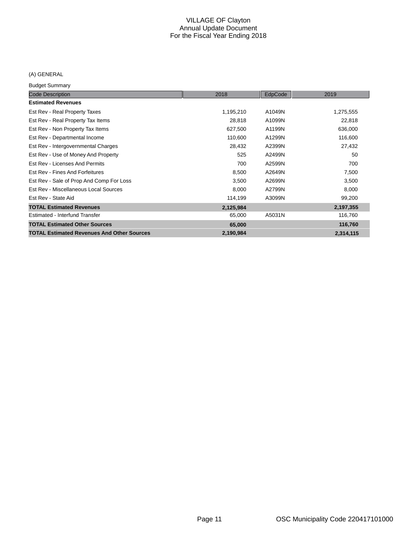# (A) GENERAL

Budget Summary

| <b>Code Description</b>                           | 2018      | EdpCode | 2019      |
|---------------------------------------------------|-----------|---------|-----------|
| <b>Estimated Revenues</b>                         |           |         |           |
| Est Rev - Real Property Taxes                     | 1,195,210 | A1049N  | 1,275,555 |
| Est Rev - Real Property Tax Items                 | 28,818    | A1099N  | 22,818    |
| Est Rev - Non Property Tax Items                  | 627,500   | A1199N  | 636,000   |
| Est Rev - Departmental Income                     | 110,600   | A1299N  | 116,600   |
| Est Rev - Intergovernmental Charges               | 28,432    | A2399N  | 27,432    |
| Est Rev - Use of Money And Property               | 525       | A2499N  | 50        |
| Est Rev - Licenses And Permits                    | 700       | A2599N  | 700       |
| Est Rev - Fines And Forfeitures                   | 8,500     | A2649N  | 7,500     |
| Est Rev - Sale of Prop And Comp For Loss          | 3,500     | A2699N  | 3,500     |
| Est Rev - Miscellaneous Local Sources             | 8,000     | A2799N  | 8,000     |
| Est Rev - State Aid                               | 114,199   | A3099N  | 99,200    |
| <b>TOTAL Estimated Revenues</b>                   | 2,125,984 |         | 2,197,355 |
| Estimated - Interfund Transfer                    | 65,000    | A5031N  | 116,760   |
| <b>TOTAL Estimated Other Sources</b>              | 65,000    |         | 116,760   |
| <b>TOTAL Estimated Revenues And Other Sources</b> | 2,190,984 |         | 2,314,115 |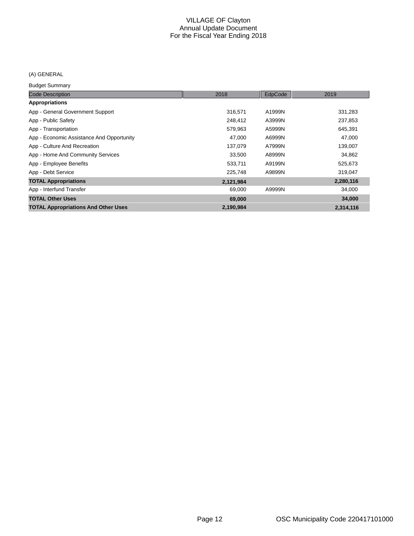# (A) GENERAL

Budget Summary

| .                                          |           |         |           |
|--------------------------------------------|-----------|---------|-----------|
| <b>Code Description</b>                    | 2018      | EdpCode | 2019      |
| <b>Appropriations</b>                      |           |         |           |
| App - General Government Support           | 316.571   | A1999N  | 331,283   |
| App - Public Safety                        | 248,412   | A3999N  | 237,853   |
| App - Transportation                       | 579,963   | A5999N  | 645,391   |
| App - Economic Assistance And Opportunity  | 47,000    | A6999N  | 47,000    |
| App - Culture And Recreation               | 137,079   | A7999N  | 139,007   |
| App - Home And Community Services          | 33,500    | A8999N  | 34,862    |
| App - Employee Benefits                    | 533,711   | A9199N  | 525,673   |
| App - Debt Service                         | 225,748   | A9899N  | 319,047   |
| <b>TOTAL Appropriations</b>                | 2,121,984 |         | 2,280,116 |
| App - Interfund Transfer                   | 69,000    | A9999N  | 34,000    |
| <b>TOTAL Other Uses</b>                    | 69,000    |         | 34,000    |
| <b>TOTAL Appropriations And Other Uses</b> | 2,190,984 |         | 2,314,116 |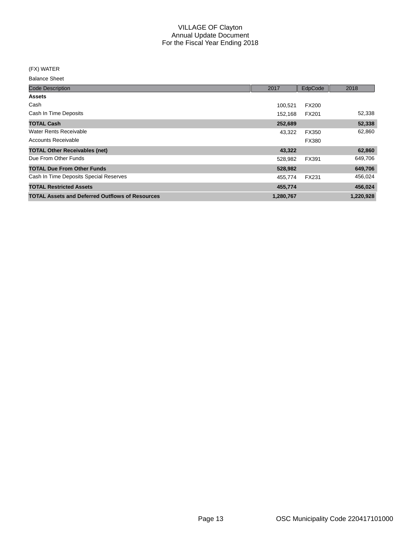(FX) WATER

| <b>Code Description</b>                                | 2017      | EdpCode      | 2018      |
|--------------------------------------------------------|-----------|--------------|-----------|
| <b>Assets</b>                                          |           |              |           |
| Cash                                                   | 100,521   | <b>FX200</b> |           |
| Cash In Time Deposits                                  | 152,168   | <b>FX201</b> | 52,338    |
| <b>TOTAL Cash</b>                                      | 252,689   |              | 52,338    |
| <b>Water Rents Receivable</b>                          | 43.322    | FX350        | 62,860    |
| Accounts Receivable                                    |           | FX380        |           |
| <b>TOTAL Other Receivables (net)</b>                   | 43,322    |              | 62,860    |
| Due From Other Funds                                   | 528,982   | FX391        | 649,706   |
| <b>TOTAL Due From Other Funds</b>                      | 528,982   |              | 649,706   |
| Cash In Time Deposits Special Reserves                 | 455,774   | <b>FX231</b> | 456,024   |
| <b>TOTAL Restricted Assets</b>                         | 455,774   |              | 456,024   |
| <b>TOTAL Assets and Deferred Outflows of Resources</b> | 1,280,767 |              | 1,220,928 |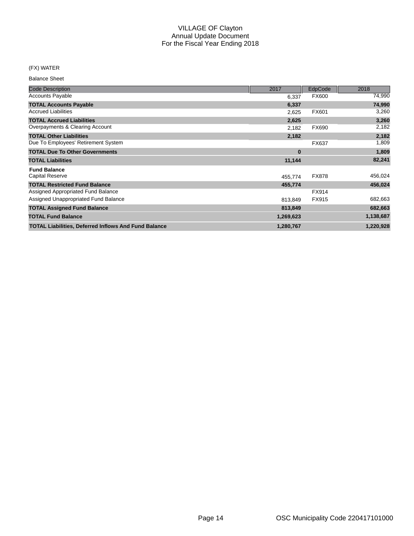#### (FX) WATER

| <b>Code Description</b>                                     | 2017      | EdpCode      | 2018      |
|-------------------------------------------------------------|-----------|--------------|-----------|
| <b>Accounts Payable</b>                                     | 6,337     | FX600        | 74,990    |
| <b>TOTAL Accounts Payable</b>                               | 6,337     |              | 74,990    |
| <b>Accrued Liabilities</b>                                  | 2,625     | FX601        | 3,260     |
| <b>TOTAL Accrued Liabilities</b>                            | 2,625     |              | 3,260     |
| Overpayments & Clearing Account                             | 2,182     | <b>FX690</b> | 2,182     |
| <b>TOTAL Other Liabilities</b>                              | 2,182     |              | 2,182     |
| Due To Employees' Retirement System                         |           | <b>FX637</b> | 1,809     |
| <b>TOTAL Due To Other Governments</b>                       | $\bf{0}$  |              | 1,809     |
| <b>TOTAL Liabilities</b>                                    | 11,144    |              | 82,241    |
| <b>Fund Balance</b>                                         |           |              |           |
| <b>Capital Reserve</b>                                      | 455,774   | <b>FX878</b> | 456,024   |
| <b>TOTAL Restricted Fund Balance</b>                        | 455,774   |              | 456,024   |
| Assigned Appropriated Fund Balance                          |           | FX914        |           |
| Assigned Unappropriated Fund Balance                        | 813,849   | FX915        | 682,663   |
| <b>TOTAL Assigned Fund Balance</b>                          | 813,849   |              | 682,663   |
| <b>TOTAL Fund Balance</b>                                   | 1,269,623 |              | 1,138,687 |
| <b>TOTAL Liabilities, Deferred Inflows And Fund Balance</b> | 1,280,767 |              | 1,220,928 |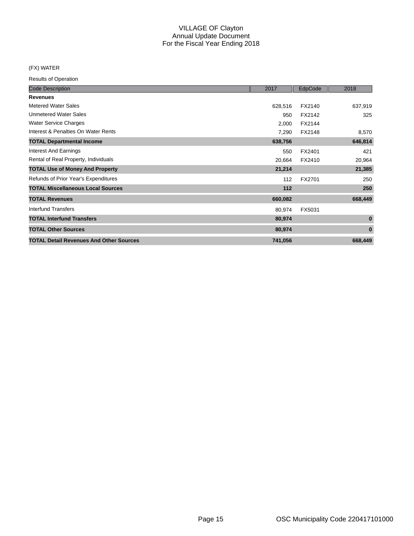#### (FX) WATER

| <b>Code Description</b>                        | 2017    | EdpCode | 2018     |
|------------------------------------------------|---------|---------|----------|
| <b>Revenues</b>                                |         |         |          |
| <b>Metered Water Sales</b>                     | 628,516 | FX2140  | 637,919  |
| <b>Unmetered Water Sales</b>                   | 950     | FX2142  | 325      |
| <b>Water Service Charges</b>                   | 2,000   | FX2144  |          |
| Interest & Penalties On Water Rents            | 7,290   | FX2148  | 8,570    |
| <b>TOTAL Departmental Income</b>               | 638,756 |         | 646,814  |
| <b>Interest And Earnings</b>                   | 550     | FX2401  | 421      |
| Rental of Real Property, Individuals           | 20,664  | FX2410  | 20,964   |
| <b>TOTAL Use of Money And Property</b>         | 21,214  |         | 21,385   |
| Refunds of Prior Year's Expenditures           | 112     | FX2701  | 250      |
| <b>TOTAL Miscellaneous Local Sources</b>       | $112$   |         | 250      |
| <b>TOTAL Revenues</b>                          | 660,082 |         | 668,449  |
| Interfund Transfers                            | 80,974  | FX5031  |          |
| <b>TOTAL Interfund Transfers</b>               | 80,974  |         | $\bf{0}$ |
| <b>TOTAL Other Sources</b>                     | 80,974  |         | $\bf{0}$ |
| <b>TOTAL Detail Revenues And Other Sources</b> | 741,056 |         | 668,449  |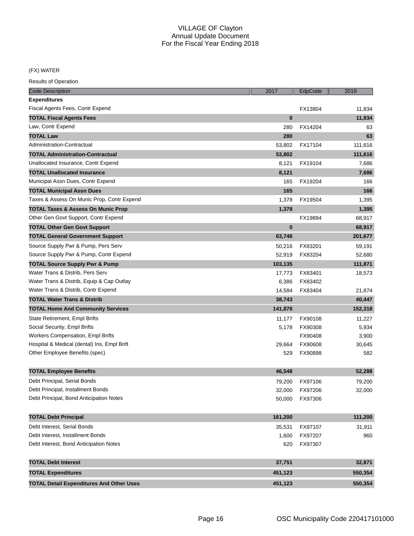# (FX) WATER

| <b>Code Description</b>                         | 2017     | EdpCode | 2018    |
|-------------------------------------------------|----------|---------|---------|
| Expenditures                                    |          |         |         |
| Fiscal Agents Fees, Contr Expend                |          | FX13804 | 11,834  |
| <b>TOTAL Fiscal Agents Fees</b>                 | $\bf{0}$ |         | 11,834  |
| Law, Contr Expend                               | 280      | FX14204 | 63      |
| <b>TOTAL Law</b>                                | 280      |         | 63      |
| Administration-Contractual                      | 53,802   | FX17104 | 111,616 |
| <b>TOTAL Administration-Contractual</b>         | 53,802   |         | 111,616 |
| Unallocated Insurance, Contr Expend             | 8,121    | FX19104 | 7,686   |
| <b>TOTAL Unallocated Insurance</b>              | 8,121    |         | 7,686   |
| Municipal Assn Dues, Contr Expend               | 165      | FX19204 | 166     |
| <b>TOTAL Municipal Assn Dues</b>                | 165      |         | 166     |
| Taxes & Assess On Munic Prop, Contr Expend      | 1,378    | FX19504 | 1,395   |
| <b>TOTAL Taxes &amp; Assess On Munic Prop</b>   | 1,378    |         | 1,395   |
| Other Gen Govt Support, Contr Expend            |          | FX19894 | 68,917  |
| <b>TOTAL Other Gen Govt Support</b>             | $\bf{0}$ |         | 68,917  |
| <b>TOTAL General Government Support</b>         | 63,746   |         | 201,677 |
| Source Supply Pwr & Pump, Pers Serv             | 50,216   | FX83201 | 59,191  |
| Source Supply Pwr & Pump, Contr Expend          | 52,919   | FX83204 | 52,680  |
| <b>TOTAL Source Supply Pwr &amp; Pump</b>       | 103,135  |         | 111,871 |
| Water Trans & Distrib, Pers Serv                | 17,773   | FX83401 | 18,573  |
| Water Trans & Distrib, Equip & Cap Outlay       | 6,386    | FX83402 |         |
| Water Trans & Distrib, Contr Expend             | 14,584   | FX83404 | 21,874  |
| <b>TOTAL Water Trans &amp; Distrib</b>          | 38,743   |         | 40,447  |
| <b>TOTAL Home And Community Services</b>        | 141,878  |         | 152,318 |
| State Retirement, Empl Bnfts                    | 11,177   | FX90108 | 11,227  |
| Social Security, Empl Bnfts                     | 5,178    | FX90308 | 5,934   |
| <b>Workers Compensation, Empl Bnfts</b>         |          | FX90408 | 3,900   |
| Hospital & Medical (dental) Ins, Empl Bnft      | 29,664   | FX90608 | 30,645  |
| Other Employee Benefits (spec)                  | 529      | FX90898 | 582     |
|                                                 |          |         |         |
| <b>TOTAL Employee Benefits</b>                  | 46,548   |         | 52,288  |
| Debt Principal, Serial Bonds                    | 79,200   | FX97106 | 79,200  |
| Debt Principal, Installment Bonds               | 32,000   | FX97206 | 32,000  |
| Debt Principal, Bond Anticipation Notes         | 50,000   | FX97306 |         |
| <b>TOTAL Debt Principal</b>                     | 161,200  |         | 111,200 |
| Debt Interest, Serial Bonds                     | 35,531   | FX97107 | 31,911  |
| Debt Interest, Installment Bonds                | 1,600    | FX97207 | 960     |
| Debt Interest, Bond Anticipation Notes          | 620      | FX97307 |         |
| <b>TOTAL Debt Interest</b>                      | 37,751   |         | 32,871  |
| <b>TOTAL Expenditures</b>                       | 451,123  |         | 550,354 |
| <b>TOTAL Detail Expenditures And Other Uses</b> | 451,123  |         | 550,354 |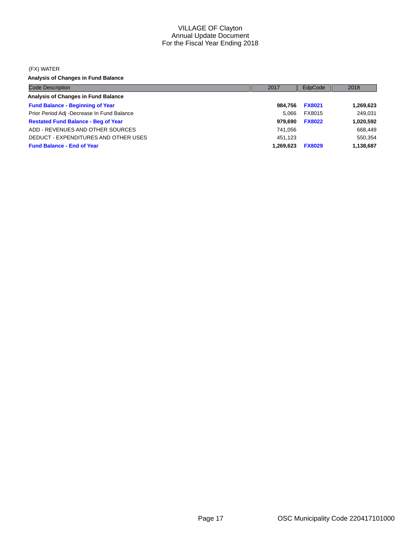#### (FX) WATER

**Analysis of Changes in Fund Balance**

| <b>Code Description</b>                    | 2017      | EdpCode       | 2018      |
|--------------------------------------------|-----------|---------------|-----------|
| Analysis of Changes in Fund Balance        |           |               |           |
| <b>Fund Balance - Beginning of Year</b>    | 984.756   | <b>FX8021</b> | 1,269,623 |
| Prior Period Adj -Decrease In Fund Balance | 5.066     | FX8015        | 249,031   |
| <b>Restated Fund Balance - Beg of Year</b> | 979.690   | <b>FX8022</b> | 1,020,592 |
| ADD - REVENUES AND OTHER SOURCES           | 741.056   |               | 668,449   |
| DEDUCT - EXPENDITURES AND OTHER USES       | 451.123   |               | 550,354   |
| <b>Fund Balance - End of Year</b>          | 1.269.623 | <b>FX8029</b> | 1,138,687 |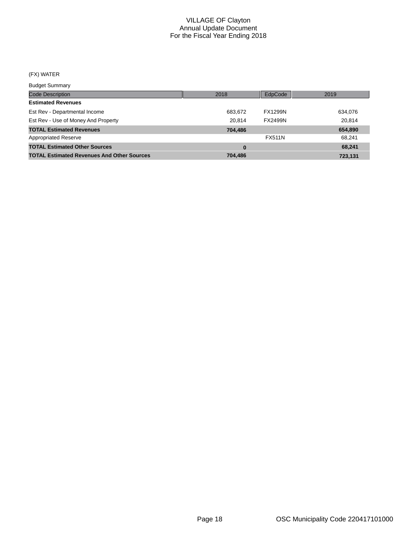# (FX) WATER

Budget Summary

| 2018    | EdpCode        | 2019    |
|---------|----------------|---------|
|         |                |         |
| 683,672 | <b>FX1299N</b> | 634,076 |
| 20.814  | <b>FX2499N</b> | 20.814  |
| 704,486 |                | 654,890 |
|         | <b>FX511N</b>  | 68,241  |
|         |                | 68,241  |
| 704.486 |                | 723,131 |
|         |                |         |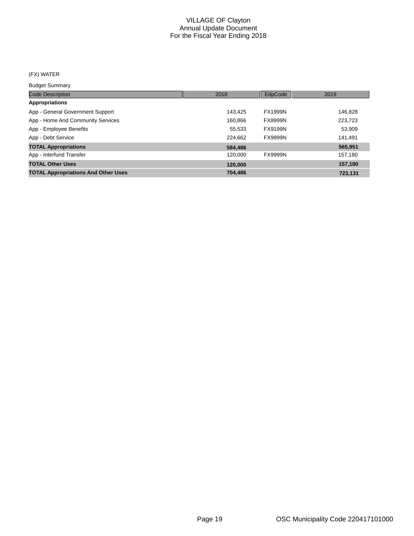# (FX) WATER

Budget Summary

| <b>Code Description</b>                    | 2018    | EdpCode        | 2019    |
|--------------------------------------------|---------|----------------|---------|
| <b>Appropriations</b>                      |         |                |         |
| App - General Government Support           | 143.425 | <b>FX1999N</b> | 146,828 |
| App - Home And Community Services          | 160.866 | <b>FX8999N</b> | 223,723 |
| App - Employee Benefits                    | 55,533  | FX9199N        | 53,909  |
| App - Debt Service                         | 224.662 | <b>FX9899N</b> | 141,491 |
| <b>TOTAL Appropriations</b>                | 584,486 |                | 565,951 |
| App - Interfund Transfer                   | 120.000 | <b>FX9999N</b> | 157,180 |
| <b>TOTAL Other Uses</b>                    | 120,000 |                | 157,180 |
| <b>TOTAL Appropriations And Other Uses</b> | 704,486 |                | 723,131 |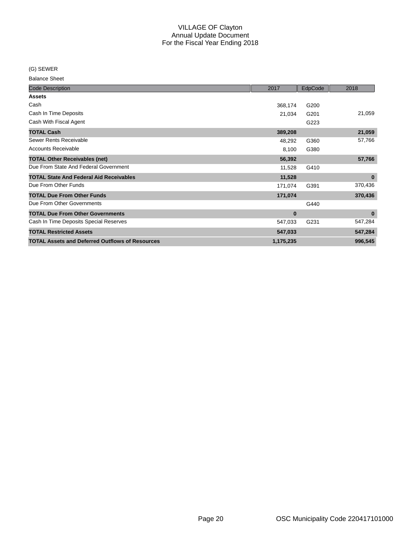(G) SEWER

| <b>Code Description</b>                                | 2017      | EdpCode | 2018     |
|--------------------------------------------------------|-----------|---------|----------|
| <b>Assets</b>                                          |           |         |          |
| Cash                                                   | 368,174   | G200    |          |
| Cash In Time Deposits                                  | 21,034    | G201    | 21,059   |
| Cash With Fiscal Agent                                 |           | G223    |          |
| <b>TOTAL Cash</b>                                      | 389,208   |         | 21,059   |
| Sewer Rents Receivable                                 | 48,292    | G360    | 57,766   |
| <b>Accounts Receivable</b>                             | 8,100     | G380    |          |
| <b>TOTAL Other Receivables (net)</b>                   | 56,392    |         | 57,766   |
| Due From State And Federal Government                  | 11,528    | G410    |          |
| <b>TOTAL State And Federal Aid Receivables</b>         | 11,528    |         | $\bf{0}$ |
| Due From Other Funds                                   | 171,074   | G391    | 370,436  |
| <b>TOTAL Due From Other Funds</b>                      | 171,074   |         | 370,436  |
| Due From Other Governments                             |           | G440    |          |
| <b>TOTAL Due From Other Governments</b>                | $\bf{0}$  |         | $\bf{0}$ |
| Cash In Time Deposits Special Reserves                 | 547,033   | G231    | 547,284  |
| <b>TOTAL Restricted Assets</b>                         | 547,033   |         | 547,284  |
| <b>TOTAL Assets and Deferred Outflows of Resources</b> | 1,175,235 |         | 996,545  |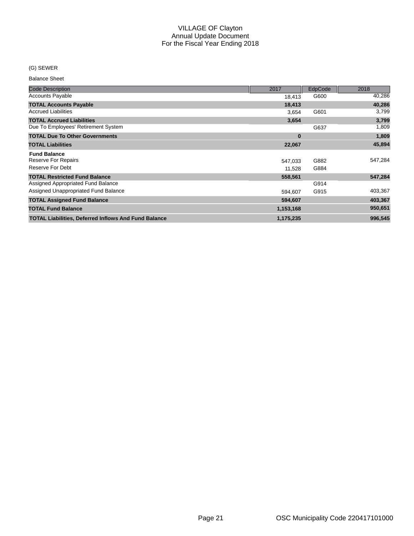#### (G) SEWER

| <b>Code Description</b>                                     | 2017      | EdpCode | 2018    |
|-------------------------------------------------------------|-----------|---------|---------|
| <b>Accounts Payable</b>                                     | 18,413    | G600    | 40,286  |
| <b>TOTAL Accounts Payable</b>                               | 18,413    |         | 40,286  |
| <b>Accrued Liabilities</b>                                  | 3,654     | G601    | 3,799   |
| <b>TOTAL Accrued Liabilities</b>                            | 3,654     |         | 3,799   |
| Due To Employees' Retirement System                         |           | G637    | 1,809   |
| <b>TOTAL Due To Other Governments</b>                       | $\bf{0}$  |         | 1,809   |
| <b>TOTAL Liabilities</b>                                    | 22,067    |         | 45,894  |
| <b>Fund Balance</b>                                         |           |         |         |
| Reserve For Repairs                                         | 547,033   | G882    | 547,284 |
| Reserve For Debt                                            | 11,528    | G884    |         |
| <b>TOTAL Restricted Fund Balance</b>                        | 558,561   |         | 547,284 |
| Assigned Appropriated Fund Balance                          |           | G914    |         |
| Assigned Unappropriated Fund Balance                        | 594,607   | G915    | 403,367 |
| <b>TOTAL Assigned Fund Balance</b>                          | 594,607   |         | 403,367 |
| <b>TOTAL Fund Balance</b>                                   | 1,153,168 |         | 950,651 |
| <b>TOTAL Liabilities, Deferred Inflows And Fund Balance</b> | 1,175,235 |         | 996,545 |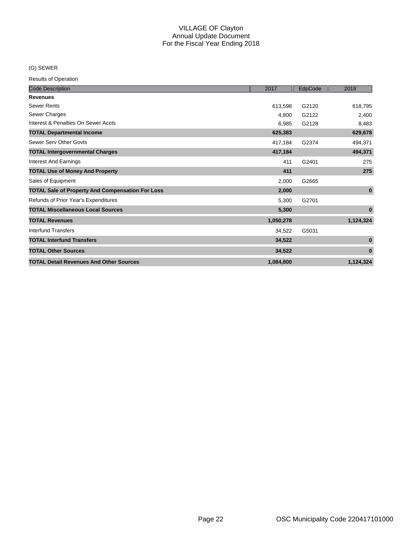#### (G) SEWER

| <b>Code Description</b>                                 | 2017      | EdpCode | 2018         |
|---------------------------------------------------------|-----------|---------|--------------|
| <b>Revenues</b>                                         |           |         |              |
| <b>Sewer Rents</b>                                      | 613,598   | G2120   | 618,795      |
| Sewer Charges                                           | 4,800     | G2122   | 2,400        |
| Interest & Penalties On Sewer Accts                     | 6,985     | G2128   | 8,483        |
| <b>TOTAL Departmental Income</b>                        | 625,383   |         | 629,678      |
| Sewer Serv Other Govts                                  | 417,184   | G2374   | 494,371      |
| <b>TOTAL Intergovernmental Charges</b>                  | 417,184   |         | 494,371      |
| <b>Interest And Earnings</b>                            | 411       | G2401   | 275          |
| <b>TOTAL Use of Money And Property</b>                  | 411       |         | 275          |
| Sales of Equipment                                      | 2,000     | G2665   |              |
| <b>TOTAL Sale of Property And Compensation For Loss</b> | 2,000     |         | $\mathbf{0}$ |
| Refunds of Prior Year's Expenditures                    | 5,300     | G2701   |              |
| <b>TOTAL Miscellaneous Local Sources</b>                | 5,300     |         | $\bf{0}$     |
| <b>TOTAL Revenues</b>                                   | 1,050,278 |         | 1,124,324    |
| Interfund Transfers                                     | 34,522    | G5031   |              |
| <b>TOTAL Interfund Transfers</b>                        | 34,522    |         | $\bf{0}$     |
| <b>TOTAL Other Sources</b>                              | 34,522    |         | $\bf{0}$     |
| <b>TOTAL Detail Revenues And Other Sources</b>          | 1,084,800 |         | 1,124,324    |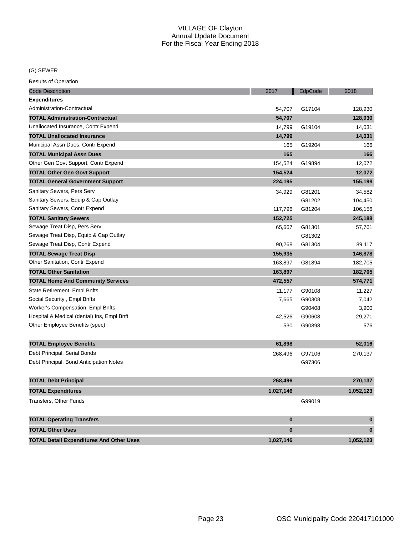# (G) SEWER

| <b>Code Description</b>                         | 2017      | EdpCode | 2018      |
|-------------------------------------------------|-----------|---------|-----------|
| <b>Expenditures</b>                             |           |         |           |
| Administration-Contractual                      | 54,707    | G17104  | 128,930   |
| <b>TOTAL Administration-Contractual</b>         | 54,707    |         | 128,930   |
| Unallocated Insurance, Contr Expend             | 14,799    | G19104  | 14,031    |
| <b>TOTAL Unallocated Insurance</b>              | 14,799    |         | 14,031    |
| Municipal Assn Dues, Contr Expend               | 165       | G19204  | 166       |
| <b>TOTAL Municipal Assn Dues</b>                | 165       |         | 166       |
| Other Gen Govt Support, Contr Expend            | 154,524   | G19894  | 12,072    |
| <b>TOTAL Other Gen Govt Support</b>             | 154,524   |         | 12,072    |
| <b>TOTAL General Government Support</b>         | 224,195   |         | 155,199   |
| Sanitary Sewers, Pers Serv                      | 34,929    | G81201  | 34,582    |
| Sanitary Sewers, Equip & Cap Outlay             |           | G81202  | 104,450   |
| Sanitary Sewers, Contr Expend                   | 117,796   | G81204  | 106,156   |
| <b>TOTAL Sanitary Sewers</b>                    | 152,725   |         | 245,188   |
| Sewage Treat Disp, Pers Serv                    | 65,667    | G81301  | 57,761    |
| Sewage Treat Disp, Equip & Cap Outlay           |           | G81302  |           |
| Sewage Treat Disp, Contr Expend                 | 90,268    | G81304  | 89,117    |
| <b>TOTAL Sewage Treat Disp</b>                  | 155,935   |         | 146,878   |
| Other Sanitation, Contr Expend                  | 163,897   | G81894  | 182,705   |
| <b>TOTAL Other Sanitation</b>                   | 163,897   |         | 182,705   |
| <b>TOTAL Home And Community Services</b>        | 472,557   |         | 574,771   |
| State Retirement, Empl Bnfts                    | 11,177    | G90108  | 11,227    |
| Social Security, Empl Bnfts                     | 7,665     | G90308  | 7,042     |
| Worker's Compensation, Empl Bnfts               |           | G90408  | 3,900     |
| Hospital & Medical (dental) Ins, Empl Bnft      | 42,526    | G90608  | 29,271    |
| Other Employee Benefits (spec)                  | 530       | G90898  | 576       |
|                                                 |           |         |           |
| <b>TOTAL Employee Benefits</b>                  | 61,898    |         | 52,016    |
| Debt Principal, Serial Bonds                    | 268,496   | G97106  | 270,137   |
| Debt Principal, Bond Anticipation Notes         |           | G97306  |           |
| <b>TOTAL Debt Principal</b>                     | 268,496   |         | 270,137   |
| <b>TOTAL Expenditures</b>                       | 1,027,146 |         | 1,052,123 |
| <b>Transfers, Other Funds</b>                   |           | G99019  |           |
| <b>TOTAL Operating Transfers</b>                | $\bf{0}$  |         | $\pmb{0}$ |
| <b>TOTAL Other Uses</b>                         | $\bf{0}$  |         | $\bf{0}$  |
| <b>TOTAL Detail Expenditures And Other Uses</b> | 1,027,146 |         | 1,052,123 |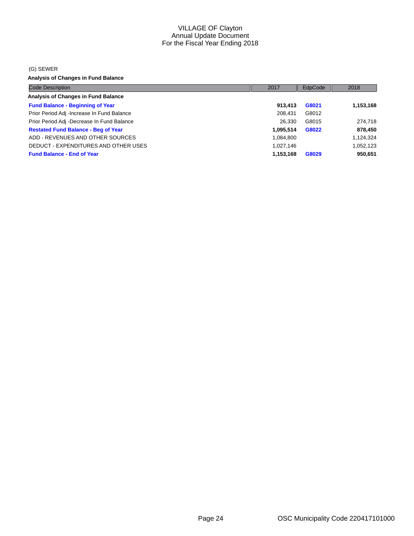#### (G) SEWER

**Analysis of Changes in Fund Balance**

| <b>Code Description</b>                    | 2017      | EdpCode | 2018      |
|--------------------------------------------|-----------|---------|-----------|
| <b>Analysis of Changes in Fund Balance</b> |           |         |           |
| <b>Fund Balance - Beginning of Year</b>    | 913,413   | G8021   | 1,153,168 |
| Prior Period Adj -Increase In Fund Balance | 208.431   | G8012   |           |
| Prior Period Adj -Decrease In Fund Balance | 26.330    | G8015   | 274,718   |
| <b>Restated Fund Balance - Beg of Year</b> | 1.095.514 | G8022   | 878,450   |
| ADD - REVENUES AND OTHER SOURCES           | 1,084,800 |         | 1,124,324 |
| DEDUCT - EXPENDITURES AND OTHER USES       | 1,027,146 |         | 1,052,123 |
| <b>Fund Balance - End of Year</b>          | 1,153,168 | G8029   | 950,651   |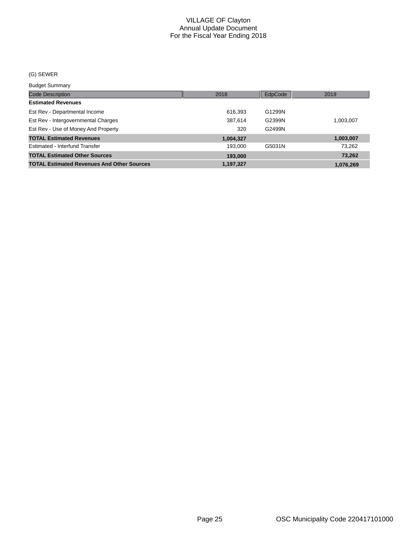#### (G) SEWER

#### Budget Summary

| <b>Code Description</b>                           | 2018      | EdpCode | 2019      |
|---------------------------------------------------|-----------|---------|-----------|
| <b>Estimated Revenues</b>                         |           |         |           |
| Est Rev - Departmental Income                     | 616,393   | G1299N  |           |
| Est Rev - Intergovernmental Charges               | 387.614   | G2399N  | 1,003,007 |
| Est Rev - Use of Money And Property               | 320       | G2499N  |           |
| <b>TOTAL Estimated Revenues</b>                   | 1,004,327 |         | 1,003,007 |
| Estimated - Interfund Transfer                    | 193.000   | G5031N  | 73,262    |
| <b>TOTAL Estimated Other Sources</b>              | 193,000   |         | 73,262    |
| <b>TOTAL Estimated Revenues And Other Sources</b> | 1.197.327 |         | 1,076,269 |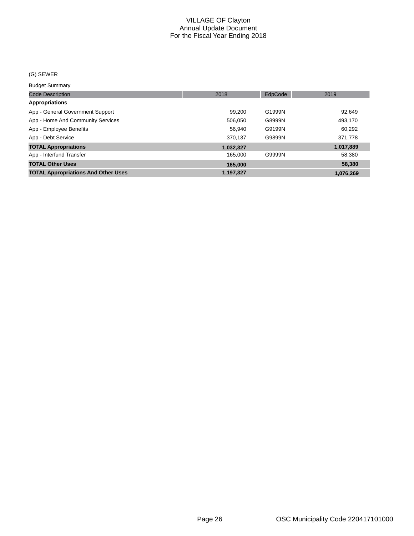#### (G) SEWER

Budget Summary

| ___________________                        |           |         |           |
|--------------------------------------------|-----------|---------|-----------|
| <b>Code Description</b>                    | 2018      | EdpCode | 2019      |
| Appropriations                             |           |         |           |
| App - General Government Support           | 99,200    | G1999N  | 92,649    |
| App - Home And Community Services          | 506.050   | G8999N  | 493,170   |
| App - Employee Benefits                    | 56,940    | G9199N  | 60,292    |
| App - Debt Service                         | 370.137   | G9899N  | 371,778   |
| <b>TOTAL Appropriations</b>                | 1,032,327 |         | 1,017,889 |
| App - Interfund Transfer                   | 165.000   | G9999N  | 58,380    |
| <b>TOTAL Other Uses</b>                    | 165,000   |         | 58,380    |
| <b>TOTAL Appropriations And Other Uses</b> | 1,197,327 |         | 1.076.269 |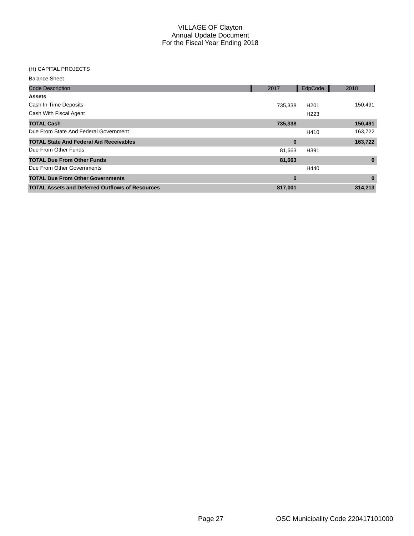#### (H) CAPITAL PROJECTS

| <b>Balance Sheet</b>                                   |          |                  |          |
|--------------------------------------------------------|----------|------------------|----------|
| <b>Code Description</b>                                | 2017     | EdpCode          | 2018     |
| <b>Assets</b>                                          |          |                  |          |
| Cash In Time Deposits                                  | 735,338  | H <sub>201</sub> | 150,491  |
| Cash With Fiscal Agent                                 |          | H <sub>223</sub> |          |
| <b>TOTAL Cash</b>                                      | 735,338  |                  | 150,491  |
| Due From State And Federal Government                  |          | H410             | 163,722  |
| <b>TOTAL State And Federal Aid Receivables</b>         | $\bf{0}$ |                  | 163,722  |
| Due From Other Funds                                   | 81,663   | H391             |          |
| <b>TOTAL Due From Other Funds</b>                      | 81,663   |                  | $\bf{0}$ |
| Due From Other Governments                             |          | H440             |          |
| <b>TOTAL Due From Other Governments</b>                | $\bf{0}$ |                  | $\bf{0}$ |
| <b>TOTAL Assets and Deferred Outflows of Resources</b> | 817.001  |                  | 314.213  |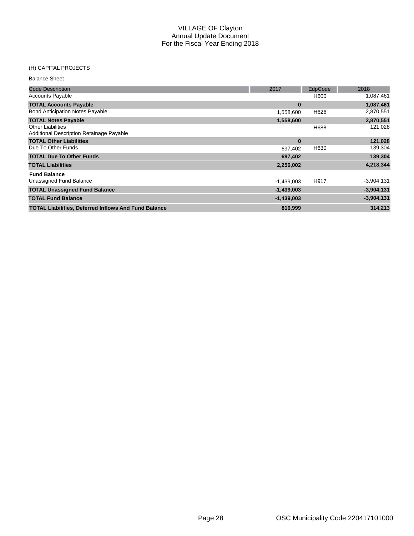#### (H) CAPITAL PROJECTS

| <b>Balance Sheet</b>                                                 |              |                |              |
|----------------------------------------------------------------------|--------------|----------------|--------------|
| <b>Code Description</b>                                              | 2017         | <b>EdpCode</b> | 2018         |
| <b>Accounts Payable</b>                                              |              | H600           | 1,087,461    |
| <b>TOTAL Accounts Payable</b>                                        | $\bf{0}$     |                | 1,087,461    |
| <b>Bond Anticipation Notes Payable</b>                               | 1,558,600    | H626           | 2,870,551    |
| <b>TOTAL Notes Payable</b>                                           | 1,558,600    |                | 2,870,551    |
| <b>Other Liabilities</b><br>Additional Description Retainage Payable |              | H688           | 121,028      |
| <b>TOTAL Other Liabilities</b>                                       | $\bf{0}$     |                | 121,028      |
| Due To Other Funds                                                   | 697,402      | H630           | 139,304      |
| <b>TOTAL Due To Other Funds</b>                                      | 697,402      |                | 139,304      |
| <b>TOTAL Liabilities</b>                                             | 2,256,002    |                | 4,218,344    |
| <b>Fund Balance</b>                                                  |              |                |              |
| Unassigned Fund Balance                                              | $-1,439,003$ | H917           | $-3,904,131$ |
| <b>TOTAL Unassigned Fund Balance</b>                                 | $-1,439,003$ |                | $-3,904,131$ |
| <b>TOTAL Fund Balance</b>                                            | $-1,439,003$ |                | $-3,904,131$ |
| <b>TOTAL Liabilities, Deferred Inflows And Fund Balance</b>          | 816,999      |                | 314.213      |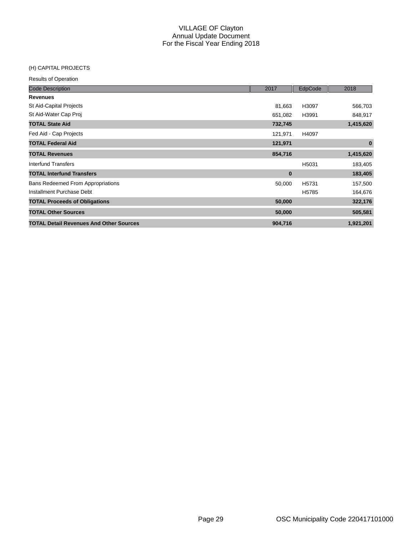#### (H) CAPITAL PROJECTS

| <b>Code Description</b>                        | 2017     | EdpCode           | 2018      |
|------------------------------------------------|----------|-------------------|-----------|
| <b>Revenues</b>                                |          |                   |           |
| St Aid-Capital Projects                        | 81,663   | H3097             | 566,703   |
| St Aid-Water Cap Proj                          | 651,082  | H3991             | 848,917   |
| <b>TOTAL State Aid</b>                         | 732,745  |                   | 1,415,620 |
| Fed Aid - Cap Projects                         | 121,971  | H4097             |           |
| <b>TOTAL Federal Aid</b>                       | 121,971  |                   | $\bf{0}$  |
| <b>TOTAL Revenues</b>                          | 854,716  |                   | 1,415,620 |
| Interfund Transfers                            |          | H5031             | 183,405   |
| <b>TOTAL Interfund Transfers</b>               | $\bf{0}$ |                   | 183,405   |
| <b>Bans Redeemed From Appropriations</b>       | 50,000   | H <sub>5731</sub> | 157,500   |
| Installment Purchase Debt                      |          | H5785             | 164,676   |
| <b>TOTAL Proceeds of Obligations</b>           | 50,000   |                   | 322,176   |
| <b>TOTAL Other Sources</b>                     | 50,000   |                   | 505,581   |
| <b>TOTAL Detail Revenues And Other Sources</b> | 904,716  |                   | 1,921,201 |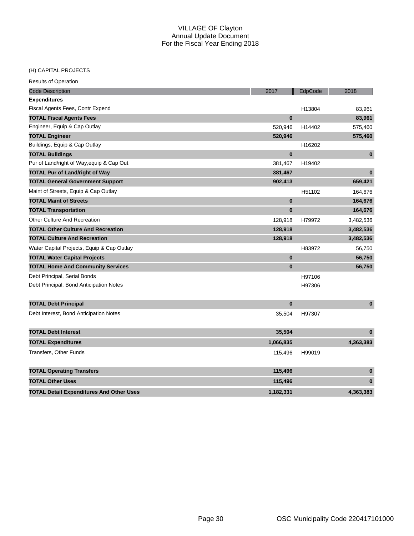# (H) CAPITAL PROJECTS

| <b>Code Description</b>                         | 2017      | EdpCode | 2018      |
|-------------------------------------------------|-----------|---------|-----------|
| <b>Expenditures</b>                             |           |         |           |
| Fiscal Agents Fees, Contr Expend                |           | H13804  | 83,961    |
| <b>TOTAL Fiscal Agents Fees</b>                 | $\bf{0}$  |         | 83,961    |
| Engineer, Equip & Cap Outlay                    | 520,946   | H14402  | 575,460   |
| <b>TOTAL Engineer</b>                           | 520,946   |         | 575,460   |
| Buildings, Equip & Cap Outlay                   |           | H16202  |           |
| <b>TOTAL Buildings</b>                          | $\bf{0}$  |         | $\bf{0}$  |
| Pur of Land/right of Way, equip & Cap Out       | 381,467   | H19402  |           |
| <b>TOTAL Pur of Land/right of Way</b>           | 381,467   |         | $\bf{0}$  |
| <b>TOTAL General Government Support</b>         | 902,413   |         | 659,421   |
| Maint of Streets, Equip & Cap Outlay            |           | H51102  | 164,676   |
| <b>TOTAL Maint of Streets</b>                   | $\bf{0}$  |         | 164,676   |
| <b>TOTAL Transportation</b>                     | $\bf{0}$  |         | 164,676   |
| <b>Other Culture And Recreation</b>             | 128,918   | H79972  | 3,482,536 |
| <b>TOTAL Other Culture And Recreation</b>       | 128,918   |         | 3,482,536 |
| <b>TOTAL Culture And Recreation</b>             | 128,918   |         | 3,482,536 |
| Water Capital Projects, Equip & Cap Outlay      |           | H83972  | 56,750    |
| <b>TOTAL Water Capital Projects</b>             | $\bf{0}$  |         | 56,750    |
| <b>TOTAL Home And Community Services</b>        | $\bf{0}$  |         | 56,750    |
| Debt Principal, Serial Bonds                    |           | H97106  |           |
| Debt Principal, Bond Anticipation Notes         |           | H97306  |           |
| <b>TOTAL Debt Principal</b>                     | $\bf{0}$  |         | $\bf{0}$  |
| Debt Interest, Bond Anticipation Notes          | 35,504    | H97307  |           |
| <b>TOTAL Debt Interest</b>                      | 35,504    |         | $\bf{0}$  |
| <b>TOTAL Expenditures</b>                       | 1,066,835 |         | 4,363,383 |
| Transfers, Other Funds                          | 115,496   | H99019  |           |
| <b>TOTAL Operating Transfers</b>                | 115,496   |         | $\bf{0}$  |
| <b>TOTAL Other Uses</b>                         | 115,496   |         | $\bf{0}$  |
| <b>TOTAL Detail Expenditures And Other Uses</b> | 1.182.331 |         | 4.363.383 |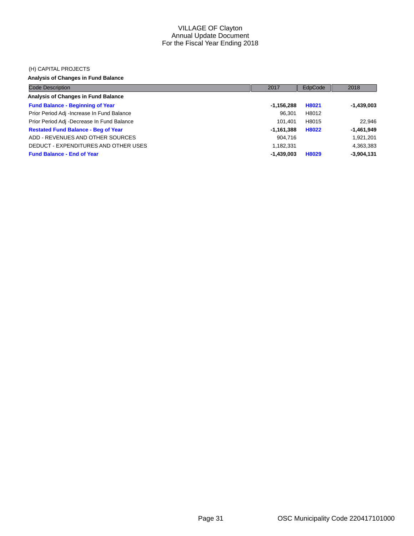#### (H) CAPITAL PROJECTS

# **Analysis of Changes in Fund Balance**

| <b>Code Description</b>                    | 2017         | EdpCode | 2018         |
|--------------------------------------------|--------------|---------|--------------|
| Analysis of Changes in Fund Balance        |              |         |              |
| <b>Fund Balance - Beginning of Year</b>    | $-1,156,288$ | H8021   | $-1,439,003$ |
| Prior Period Adj -Increase In Fund Balance | 96.301       | H8012   |              |
| Prior Period Adj -Decrease In Fund Balance | 101.401      | H8015   | 22.946       |
| <b>Restated Fund Balance - Beg of Year</b> | $-1,161,388$ | H8022   | $-1,461,949$ |
| ADD - REVENUES AND OTHER SOURCES           | 904.716      |         | 1,921,201    |
| DEDUCT - EXPENDITURES AND OTHER USES       | 1,182,331    |         | 4,363,383    |
| <b>Fund Balance - End of Year</b>          | -1,439,003   | H8029   | $-3,904,131$ |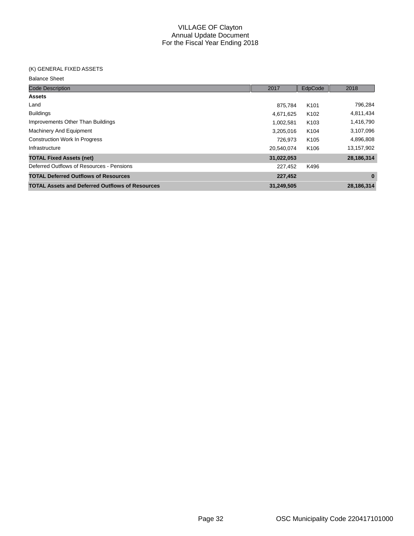#### (K) GENERAL FIXED ASSETS

| <b>Code Description</b>                                | 2017       | EdpCode          | 2018       |
|--------------------------------------------------------|------------|------------------|------------|
| <b>Assets</b>                                          |            |                  |            |
| Land                                                   | 875.784    | K <sub>101</sub> | 796,284    |
| <b>Buildings</b>                                       | 4,671,625  | K <sub>102</sub> | 4,811,434  |
| Improvements Other Than Buildings                      | 1,002,581  | K <sub>103</sub> | 1,416,790  |
| <b>Machinery And Equipment</b>                         | 3,205,016  | K <sub>104</sub> | 3,107,096  |
| <b>Construction Work In Progress</b>                   | 726.973    | K <sub>105</sub> | 4,896,808  |
| Infrastructure                                         | 20,540,074 | K <sub>106</sub> | 13,157,902 |
| <b>TOTAL Fixed Assets (net)</b>                        | 31,022,053 |                  | 28,186,314 |
| Deferred Outflows of Resources - Pensions              | 227,452    | K496             |            |
| <b>TOTAL Deferred Outflows of Resources</b>            | 227,452    |                  | $\bf{0}$   |
| <b>TOTAL Assets and Deferred Outflows of Resources</b> | 31,249,505 |                  | 28.186.314 |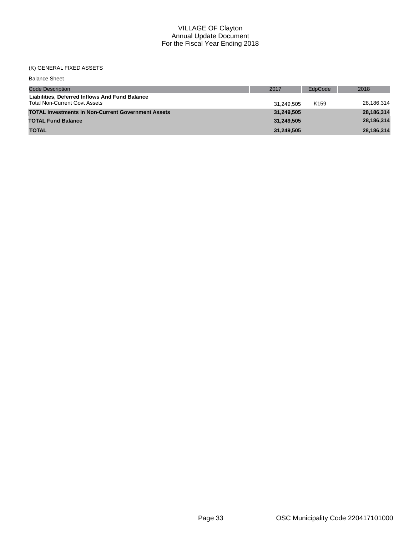# (K) GENERAL FIXED ASSETS

| <b>Balance Sheet</b>                                                                   |            |                  |            |
|----------------------------------------------------------------------------------------|------------|------------------|------------|
| <b>Code Description</b>                                                                | 2017       | EdpCode          | 2018       |
| Liabilities, Deferred Inflows And Fund Balance<br><b>Total Non-Current Govt Assets</b> | 31.249.505 | K <sub>159</sub> | 28,186,314 |
| <b>TOTAL Investments in Non-Current Government Assets</b>                              | 31,249,505 |                  | 28,186,314 |
| <b>TOTAL Fund Balance</b>                                                              | 31.249.505 |                  | 28,186,314 |
| <b>TOTAL</b>                                                                           | 31,249,505 |                  | 28,186,314 |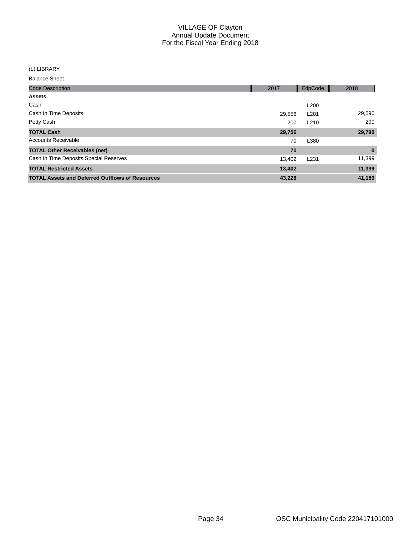(L) LIBRARY

| <b>Code Description</b>                                | 2017   | EdpCode          | 2018        |
|--------------------------------------------------------|--------|------------------|-------------|
| <b>Assets</b>                                          |        |                  |             |
| Cash                                                   |        | L <sub>200</sub> |             |
| Cash In Time Deposits                                  | 29,556 | L <sub>201</sub> | 29,590      |
| Petty Cash                                             | 200    | L <sub>210</sub> | 200         |
| <b>TOTAL Cash</b>                                      | 29,756 |                  | 29,790      |
| Accounts Receivable                                    | 70     | L380             |             |
| <b>TOTAL Other Receivables (net)</b>                   | 70     |                  | $\mathbf 0$ |
| Cash In Time Deposits Special Reserves                 | 13,402 | L <sub>231</sub> | 11,399      |
| <b>TOTAL Restricted Assets</b>                         | 13,402 |                  | 11,399      |
| <b>TOTAL Assets and Deferred Outflows of Resources</b> | 43,228 |                  | 41,189      |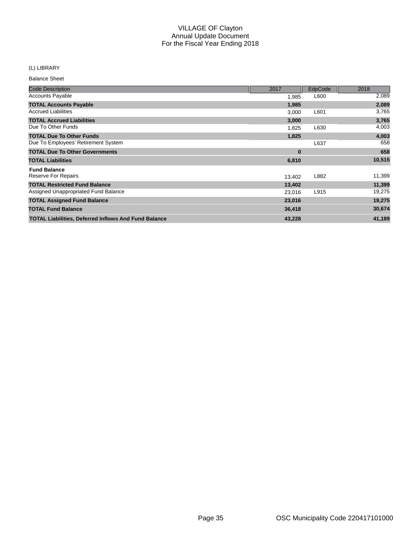# (L) LIBRARY

| <b>Code Description</b>                                     | 2017     | EdpCode | 2018   |
|-------------------------------------------------------------|----------|---------|--------|
| <b>Accounts Payable</b>                                     | 1,985    | L600    | 2,089  |
| <b>TOTAL Accounts Payable</b>                               | 1,985    |         | 2,089  |
| <b>Accrued Liabilities</b>                                  | 3,000    | L601    | 3,765  |
| <b>TOTAL Accrued Liabilities</b>                            | 3,000    |         | 3,765  |
| Due To Other Funds                                          | 1,825    | L630    | 4,003  |
| <b>TOTAL Due To Other Funds</b>                             | 1,825    |         | 4,003  |
| Due To Employees' Retirement System                         |          | L637    | 658    |
| <b>TOTAL Due To Other Governments</b>                       | $\bf{0}$ |         | 658    |
| <b>TOTAL Liabilities</b>                                    | 6,810    |         | 10,515 |
| <b>Fund Balance</b>                                         |          |         |        |
| Reserve For Repairs                                         | 13,402   | L882    | 11,399 |
| <b>TOTAL Restricted Fund Balance</b>                        | 13,402   |         | 11,399 |
| Assigned Unappropriated Fund Balance                        | 23,016   | L915    | 19,275 |
| <b>TOTAL Assigned Fund Balance</b>                          | 23,016   |         | 19,275 |
| <b>TOTAL Fund Balance</b>                                   | 36,418   |         | 30,674 |
| <b>TOTAL Liabilities, Deferred Inflows And Fund Balance</b> | 43,228   |         | 41,189 |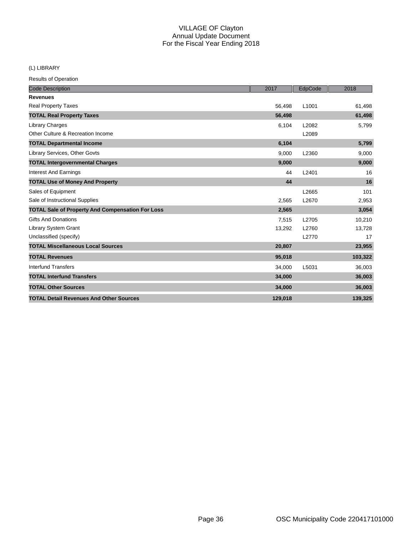# (L) LIBRARY

| <b>Code Description</b>                                 | 2017    | EdpCode | 2018    |
|---------------------------------------------------------|---------|---------|---------|
| <b>Revenues</b>                                         |         |         |         |
| <b>Real Property Taxes</b>                              | 56,498  | L1001   | 61,498  |
| <b>TOTAL Real Property Taxes</b>                        | 56,498  |         | 61,498  |
| <b>Library Charges</b>                                  | 6,104   | L2082   | 5,799   |
| Other Culture & Recreation Income                       |         | L2089   |         |
| <b>TOTAL Departmental Income</b>                        | 6,104   |         | 5,799   |
| Library Services, Other Govts                           | 9,000   | L2360   | 9,000   |
| <b>TOTAL Intergovernmental Charges</b>                  | 9,000   |         | 9,000   |
| <b>Interest And Earnings</b>                            | 44      | L2401   | 16      |
| <b>TOTAL Use of Money And Property</b>                  | 44      |         | 16      |
| Sales of Equipment                                      |         | L2665   | 101     |
| Sale of Instructional Supplies                          | 2,565   | L2670   | 2,953   |
| <b>TOTAL Sale of Property And Compensation For Loss</b> | 2,565   |         | 3,054   |
| <b>Gifts And Donations</b>                              | 7,515   | L2705   | 10,210  |
| <b>Library System Grant</b>                             | 13,292  | L2760   | 13,728  |
| Unclassified (specify)                                  |         | L2770   | 17      |
| <b>TOTAL Miscellaneous Local Sources</b>                | 20,807  |         | 23,955  |
| <b>TOTAL Revenues</b>                                   | 95,018  |         | 103,322 |
| <b>Interfund Transfers</b>                              | 34,000  | L5031   | 36,003  |
| <b>TOTAL Interfund Transfers</b>                        | 34,000  |         | 36,003  |
| <b>TOTAL Other Sources</b>                              | 34,000  |         | 36,003  |
| <b>TOTAL Detail Revenues And Other Sources</b>          | 129,018 |         | 139,325 |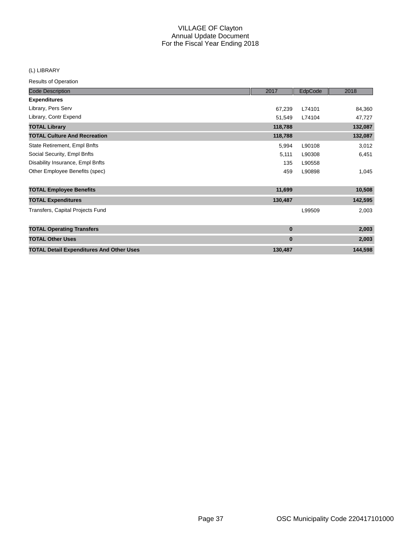# (L) LIBRARY

| <b>Code Description</b>                         | 2017     | EdpCode | 2018    |
|-------------------------------------------------|----------|---------|---------|
| <b>Expenditures</b>                             |          |         |         |
| Library, Pers Serv                              | 67,239   | L74101  | 84,360  |
| Library, Contr Expend                           | 51,549   | L74104  | 47,727  |
| <b>TOTAL Library</b>                            | 118,788  |         | 132,087 |
| <b>TOTAL Culture And Recreation</b>             | 118,788  |         | 132,087 |
| State Retirement, Empl Bnfts                    | 5,994    | L90108  | 3,012   |
| Social Security, Empl Bnfts                     | 5,111    | L90308  | 6,451   |
| Disability Insurance, Empl Bnfts                | 135      | L90558  |         |
| Other Employee Benefits (spec)                  | 459      | L90898  | 1,045   |
| <b>TOTAL Employee Benefits</b>                  | 11,699   |         | 10,508  |
| <b>TOTAL Expenditures</b>                       | 130,487  |         | 142,595 |
| Transfers, Capital Projects Fund                |          | L99509  | 2,003   |
| <b>TOTAL Operating Transfers</b>                | $\bf{0}$ |         | 2,003   |
| <b>TOTAL Other Uses</b>                         | $\bf{0}$ |         | 2,003   |
| <b>TOTAL Detail Expenditures And Other Uses</b> | 130,487  |         | 144,598 |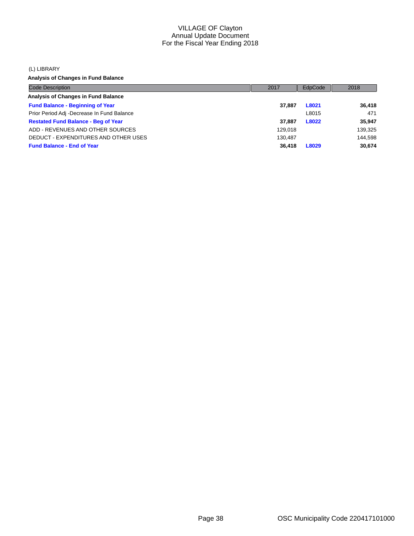#### (L) LIBRARY

**Analysis of Changes in Fund Balance**

| <b>Code Description</b>                    | 2017    | EdpCode | 2018    |
|--------------------------------------------|---------|---------|---------|
| Analysis of Changes in Fund Balance        |         |         |         |
| <b>Fund Balance - Beginning of Year</b>    | 37.887  | L8021   | 36.418  |
| Prior Period Adj -Decrease In Fund Balance |         | L8015   | 471     |
| <b>Restated Fund Balance - Beg of Year</b> | 37.887  | L8022   | 35.947  |
| ADD - REVENUES AND OTHER SOURCES           | 129.018 |         | 139,325 |
| DEDUCT - EXPENDITURES AND OTHER USES       | 130.487 |         | 144.598 |
| <b>Fund Balance - End of Year</b>          | 36,418  | L8029   | 30,674  |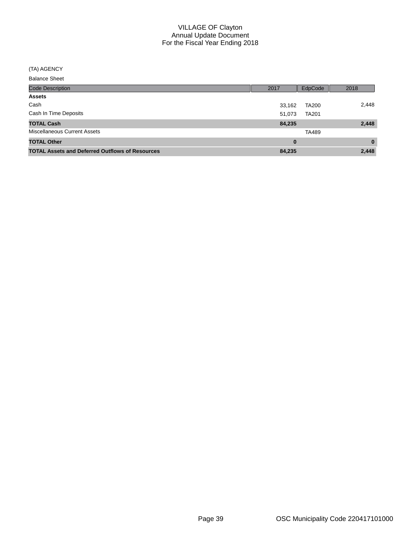#### (TA) AGENCY

| <b>Code Description</b>                                | 2017     | EdpCode      | 2018     |
|--------------------------------------------------------|----------|--------------|----------|
| <b>Assets</b>                                          |          |              |          |
| Cash                                                   | 33,162   | <b>TA200</b> | 2,448    |
| Cash In Time Deposits                                  | 51,073   | <b>TA201</b> |          |
| <b>TOTAL Cash</b>                                      | 84,235   |              | 2,448    |
| <b>Miscellaneous Current Assets</b>                    |          | <b>TA489</b> |          |
| <b>TOTAL Other</b>                                     | $\bf{0}$ |              | $\bf{0}$ |
| <b>TOTAL Assets and Deferred Outflows of Resources</b> | 84,235   |              | 2,448    |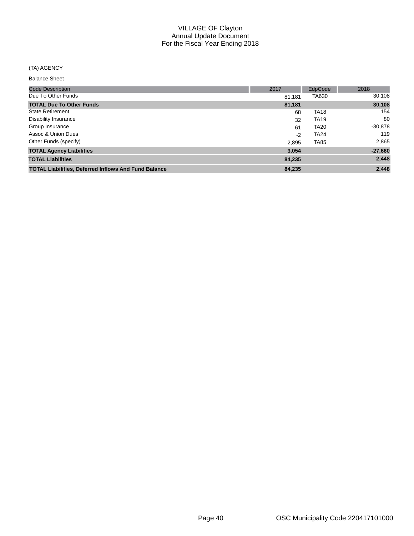# (TA) AGENCY

| <b>Code Description</b>                                     | 2017   | EdpCode     | 2018      |
|-------------------------------------------------------------|--------|-------------|-----------|
| Due To Other Funds                                          | 81,181 | TA630       | 30,108    |
| <b>TOTAL Due To Other Funds</b>                             | 81,181 |             | 30,108    |
| <b>State Retirement</b>                                     | 68     | <b>TA18</b> | 154       |
| <b>Disability Insurance</b>                                 | 32     | <b>TA19</b> | 80        |
| Group Insurance                                             | 61     | <b>TA20</b> | $-30,878$ |
| Assoc & Union Dues                                          | $-2$   | <b>TA24</b> | 119       |
| Other Funds (specify)                                       | 2.895  | <b>TA85</b> | 2,865     |
| <b>TOTAL Agency Liabilities</b>                             | 3.054  |             | $-27,660$ |
| <b>TOTAL Liabilities</b>                                    | 84.235 |             | 2,448     |
| <b>TOTAL Liabilities, Deferred Inflows And Fund Balance</b> | 84,235 |             | 2,448     |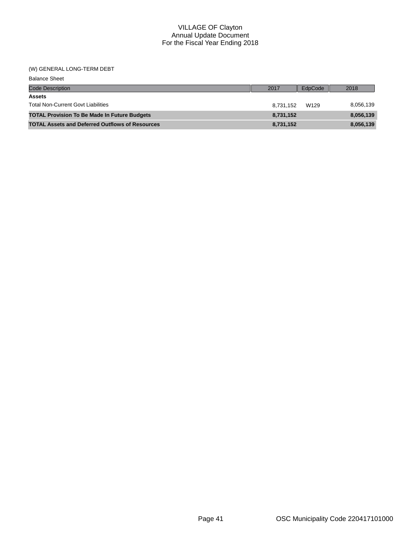#### (W) GENERAL LONG-TERM DEBT

| <b>Balance Sheet</b>                                   |           |         |           |
|--------------------------------------------------------|-----------|---------|-----------|
| <b>Code Description</b>                                | 2017      | EdpCode | 2018      |
| <b>Assets</b>                                          |           |         |           |
| <b>Total Non-Current Govt Liabilities</b>              | 8.731.152 | W129    | 8,056,139 |
| <b>TOTAL Provision To Be Made In Future Budgets</b>    | 8,731,152 |         | 8,056,139 |
| <b>TOTAL Assets and Deferred Outflows of Resources</b> | 8,731,152 |         | 8,056,139 |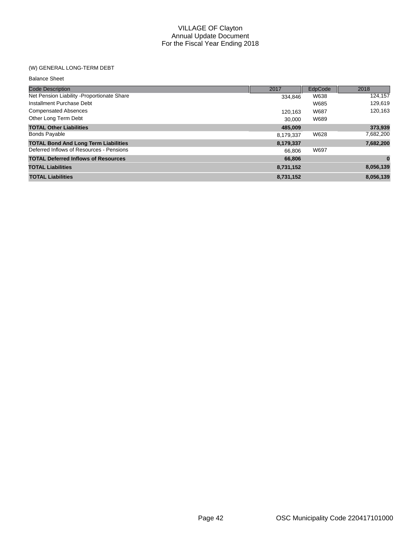# (W) GENERAL LONG-TERM DEBT

| <b>Balance Sheet</b>                        |           |         |           |
|---------------------------------------------|-----------|---------|-----------|
| <b>Code Description</b>                     | 2017      | EdpCode | 2018      |
| Net Pension Liability - Proportionate Share | 334.846   | W638    | 124,157   |
| Installment Purchase Debt                   |           | W685    | 129,619   |
| <b>Compensated Absences</b>                 | 120.163   | W687    | 120,163   |
| Other Long Term Debt                        | 30,000    | W689    |           |
| <b>TOTAL Other Liabilities</b>              | 485.009   |         | 373,939   |
| <b>Bonds Payable</b>                        | 8,179,337 | W628    | 7,682,200 |
| <b>TOTAL Bond And Long Term Liabilities</b> | 8,179,337 |         | 7,682,200 |
| Deferred Inflows of Resources - Pensions    | 66,806    | W697    |           |
| <b>TOTAL Deferred Inflows of Resources</b>  | 66,806    |         | $\bf{0}$  |
| <b>TOTAL Liabilities</b>                    | 8,731,152 |         | 8,056,139 |
| <b>TOTAL Liabilities</b>                    | 8,731,152 |         | 8,056,139 |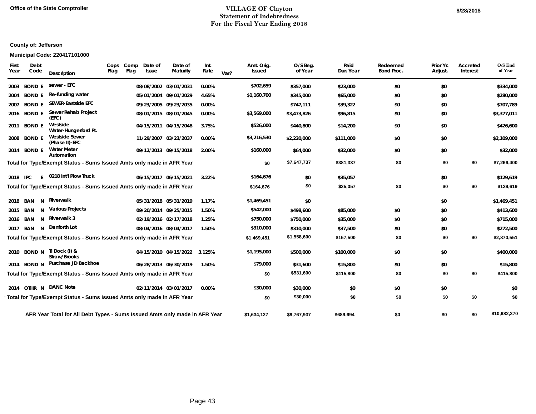#### **Office of the State Comptroller VILLAGE OF Clayton 8/28/2018Statement of Indebtedness For the Fiscal Year Ending 2018**

# **County of: Jefferson**

#### **Municipal Code: 220417101000**

| First<br>Year | Debt<br>Code   | Description                                                                | Cops<br>Flag | Comp<br>Date of<br>Flag<br><b>Issue</b> | Date of<br>Maturity          | Int.<br>Rate | Var? | Amt. Orig.<br>Issued | O/S Beg.<br>of Year | Paid<br>Dur. Year | Redeemed<br>Bond Proc. | Prior Yr.<br>Adjust. | Accreted<br>Interest | O/S End<br>of Year |
|---------------|----------------|----------------------------------------------------------------------------|--------------|-----------------------------------------|------------------------------|--------------|------|----------------------|---------------------|-------------------|------------------------|----------------------|----------------------|--------------------|
| 2003          | <b>BOND E</b>  | sewer - EFC                                                                |              |                                         | 08/08/2002 03/01/2031        | 0.00%        |      | \$702,659            | \$357,000           | \$23,000          | \$0                    | \$0                  |                      | \$334,000          |
| 2004          | <b>BOND E</b>  | Re-funding water                                                           |              |                                         | 05/01/2004 09/01/2029        | 4.65%        |      | \$1,160,700          | \$345,000           | \$65,000          | \$0                    | \$0                  |                      | \$280,000          |
| 2007          | <b>BOND E</b>  | <b>SEWER-Eastside EFC</b>                                                  |              |                                         | 09/23/2005 09/23/2035        | 0.00%        |      |                      | \$747,111           | \$39,322          | \$0                    | \$0                  |                      | \$707,789          |
|               | 2016 BOND E    | Sewer Rehab Project<br>(EFC)                                               |              |                                         | 08/01/2015 08/01/2045        | 0.00%        |      | \$3,569,000          | \$3,473,826         | \$96,815          | \$0                    | \$0                  |                      | \$3,377,011        |
| 2011          | <b>BOND E</b>  | Westside<br>Water-Hungerford Pt.                                           |              |                                         | 04/15/2011 04/15/2048        | 3.75%        |      | \$526,000            | \$440,800           | \$14,200          | \$0                    | \$0                  |                      | \$426,600          |
| 2008          | <b>BOND E</b>  | <b>Westside Sewer</b><br>(Phase II)-EFC                                    |              |                                         | 11/29/2007 03/23/2037        | 0.00%        |      | \$3,216,530          | \$2,220,000         | \$111,000         | \$0                    | \$0                  |                      | \$2,109,000        |
|               | 2014 BOND E    | <b>Water Meter</b><br>Automation                                           |              |                                         | 09/12/2013 09/15/2018        | 2.00%        |      | \$160,000            | \$64,000            | \$32,000          | \$0                    | \$0                  |                      | \$32,000           |
|               |                | Total for Type/Exempt Status - Sums Issued Amts only made in AFR Year      |              |                                         |                              |              |      | \$0                  | \$7,647,737         | \$381,337         | \$0                    | \$0                  | \$0                  | \$7,266,400        |
|               | 2018 IPC<br>F. | 0218 Int'l Plow Truck                                                      |              |                                         | 06/15/2017 06/15/2021        | 3.22%        |      | \$164,676            | \$0                 | \$35,057          |                        | \$0                  |                      | \$129,619          |
|               |                | Total for Type/Exempt Status - Sums Issued Amts only made in AFR Year      |              |                                         |                              |              |      | \$164,676            | \$0                 | \$35,057          | \$0                    | \$0                  | \$0                  | \$129,619          |
|               | 2018 BAN<br>N  | Riverwalk                                                                  |              |                                         | 05/31/2018 05/31/2019        | 1.17%        |      | \$1,469,451          | \$0                 |                   |                        | \$0                  |                      | \$1,469,451        |
|               | 2015 BAN<br>N  | Various Projects                                                           |              |                                         | 09/20/2014 09/25/2015        | 1.50%        |      | \$542,000            | \$498,600           | \$85,000          | \$0                    | \$0                  |                      | \$413,600          |
|               | N<br>2016 BAN  | Riverwalk 3                                                                |              |                                         | 02/19/2016 02/17/2018        | 1.25%        |      | \$750,000            | \$750,000           | \$35,000          | \$0                    | \$0                  |                      | \$715,000          |
| 2017          | N<br>BAN       | Danforth Lot                                                               |              |                                         | 08/04/2016 08/04/2017        | 1.50%        |      | \$310,000            | \$310,000           | \$37,500          | \$0                    | \$0                  |                      | \$272,500          |
|               |                | Total for Type/Exempt Status - Sums Issued Amts only made in AFR Year      |              |                                         |                              |              |      | \$1,469,451          | \$1,558,600         | \$157,500         | \$0                    | \$0                  | \$0                  | \$2,870,551        |
|               |                | 2010 BOND N TI Dock (I) &<br>Straw/Brooks                                  |              |                                         | 04/15/2010 04/15/2022 3.125% |              |      | \$1,195,000          | \$500,000           | \$100,000         | \$0                    | \$0                  |                      | \$400,000          |
|               | 2014 BOND N    | Purchase JD Backhoe                                                        |              |                                         | 06/28/2013 06/30/2019        | 1.50%        |      | \$79,000             | \$31,600            | \$15,800          | \$0                    | \$0                  |                      | \$15,800           |
|               |                | Total for Type/Exempt Status - Sums Issued Amts only made in AFR Year      |              |                                         |                              |              |      | \$0                  | \$531,600           | \$115,800         | \$0                    | \$0                  | \$0                  | \$415,800          |
|               |                | 2014 OTHR N DANC Note                                                      |              |                                         | 02/11/2014 03/01/2017        | 0.00%        |      | \$30,000             | \$30,000            | \$0               | \$0                    | \$0                  |                      | \$0                |
|               |                | Total for Type/Exempt Status - Sums Issued Amts only made in AFR Year      |              |                                         |                              |              |      | \$0                  | \$30,000            | \$0               | \$0                    | \$0                  | \$0                  | \$0                |
|               |                | AFR Year Total for All Debt Types - Sums Issued Amts only made in AFR Year |              |                                         |                              |              |      | \$1,634,127          | \$9,767,937         | \$689,694         | \$0                    | \$0                  | \$0                  | \$10,682,370       |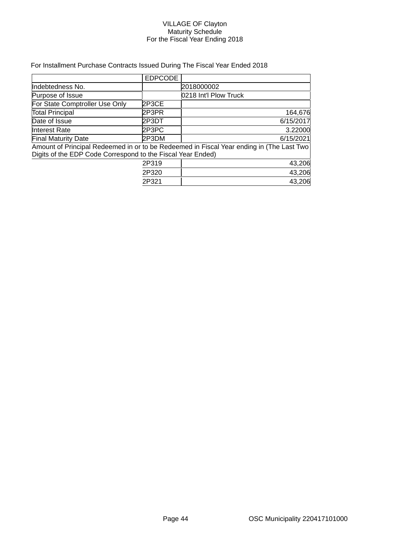#### VILLAGE OF Clayton Maturity Schedule For the Fiscal Year Ending 2018

# For Installment Purchase Contracts Issued During The Fiscal Year Ended 2018

|                                                             | <b>EDPCODE</b> |                                                                                          |
|-------------------------------------------------------------|----------------|------------------------------------------------------------------------------------------|
| Indebtedness No.                                            |                | 2018000002                                                                               |
| Purpose of Issue                                            |                | 0218 Int'l Plow Truck                                                                    |
| For State Comptroller Use Only                              | 2P3CE          |                                                                                          |
| <b>Total Principal</b>                                      | 2P3PR          | 164,676                                                                                  |
| Date of Issue                                               | 2P3DT          | 6/15/2017                                                                                |
| <b>Interest Rate</b>                                        | 2P3PC          | 3.22000                                                                                  |
| <b>Final Maturity Date</b>                                  | 2P3DM          | 6/15/2021                                                                                |
|                                                             |                | Amount of Principal Redeemed in or to be Redeemed in Fiscal Year ending in (The Last Two |
| Digits of the EDP Code Correspond to the Fiscal Year Ended) |                |                                                                                          |
|                                                             | 2P319          | 43,206                                                                                   |
|                                                             | 2P320          | 43,206                                                                                   |
|                                                             | 2P321          | 43,206                                                                                   |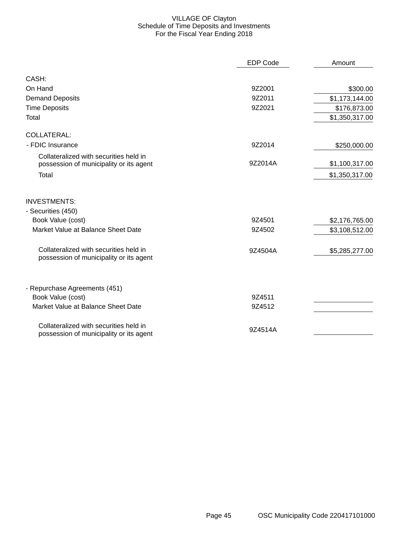# VILLAGE OF Clayton Schedule of Time Deposits and Investments For the Fiscal Year Ending 2018

|                                                                                   | <b>EDP Code</b> | Amount         |
|-----------------------------------------------------------------------------------|-----------------|----------------|
| CASH:                                                                             |                 |                |
| On Hand                                                                           | 9Z2001          | \$300.00       |
| <b>Demand Deposits</b>                                                            | 9Z2011          | \$1,173,144.00 |
| <b>Time Deposits</b>                                                              | 9Z2021          | \$176,873.00   |
| Total                                                                             |                 | \$1,350,317.00 |
| <b>COLLATERAL:</b>                                                                |                 |                |
| - FDIC Insurance                                                                  | 9Z2014          | \$250,000.00   |
| Collateralized with securities held in<br>possession of municipality or its agent | 9Z2014A         | \$1,100,317.00 |
| Total                                                                             |                 | \$1,350,317.00 |
| <b>INVESTMENTS:</b><br>- Securities (450)                                         |                 |                |
| Book Value (cost)                                                                 | 9Z4501          | \$2,176,765.00 |
| Market Value at Balance Sheet Date                                                | 9Z4502          | \$3,108,512.00 |
| Collateralized with securities held in<br>possession of municipality or its agent | 9Z4504A         | \$5,285,277.00 |
| - Repurchase Agreements (451)                                                     |                 |                |
| Book Value (cost)                                                                 | 9Z4511          |                |
| Market Value at Balance Sheet Date                                                | 9Z4512          |                |
| Collateralized with securities held in<br>possession of municipality or its agent | 9Z4514A         |                |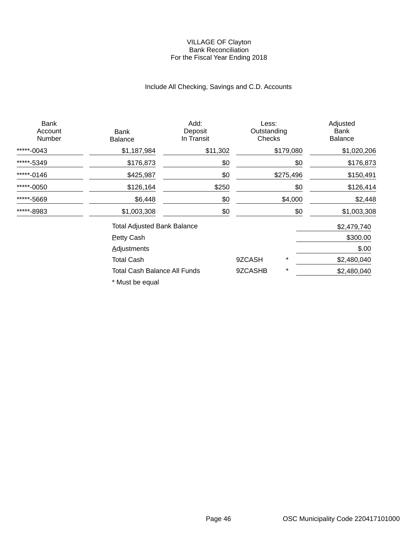#### VILLAGE OF Clayton Bank Reconciliation For the Fiscal Year Ending 2018

# Include All Checking, Savings and C.D. Accounts

| <b>Bank</b><br>Account<br>Number | Bank<br>Balance                    | Add:<br>Deposit<br>In Transit | Less:<br>Outstanding<br>Checks |           | Adjusted<br>Bank<br><b>Balance</b> |
|----------------------------------|------------------------------------|-------------------------------|--------------------------------|-----------|------------------------------------|
| *****-0043                       | \$1,187,984                        | \$11,302                      |                                | \$179,080 | \$1,020,206                        |
| *****-5349                       | \$176,873                          | \$0                           |                                | \$0       | \$176,873                          |
| *****-0146                       | \$425,987                          | \$0                           |                                | \$275,496 | \$150,491                          |
| *****-0050                       | \$126,164                          | \$250                         |                                | \$0       | \$126,414                          |
| *****-5669                       | \$6,448                            | \$0                           |                                | \$4,000   | \$2,448                            |
| *****-8983                       | \$1,003,308                        | \$0                           |                                | \$0       | \$1,003,308                        |
|                                  | <b>Total Adjusted Bank Balance</b> |                               |                                |           | \$2,479,740                        |
|                                  | <b>Petty Cash</b>                  |                               |                                |           | \$300.00                           |
|                                  | <b>Adjustments</b>                 |                               |                                |           | \$.00                              |
|                                  | <b>Total Cash</b>                  |                               | 9ZCASH                         | $\star$   | \$2,480,040                        |
|                                  | Total Cash Balance All Funds       |                               | 9ZCASHB                        | *         | \$2,480,040                        |

\* Must be equal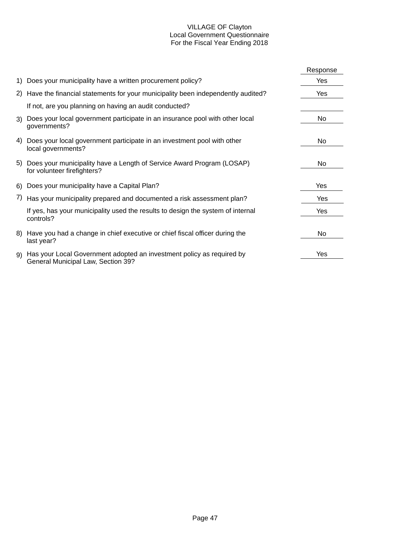#### VILLAGE OF Clayton Local Government Questionnaire For the Fiscal Year Ending 2018

|     |                                                                                                             | Response |
|-----|-------------------------------------------------------------------------------------------------------------|----------|
|     | 1) Does your municipality have a written procurement policy?                                                | Yes      |
|     | 2) Have the financial statements for your municipality been independently audited?                          | Yes      |
|     | If not, are you planning on having an audit conducted?                                                      |          |
| 3)  | Does your local government participate in an insurance pool with other local<br>governments?                | No       |
|     | 4) Does your local government participate in an investment pool with other<br>local governments?            | No.      |
|     | 5) Does your municipality have a Length of Service Award Program (LOSAP)<br>for volunteer firefighters?     | No.      |
|     | 6) Does your municipality have a Capital Plan?                                                              | Yes      |
|     | 7) Has your municipality prepared and documented a risk assessment plan?                                    | Yes      |
|     | If yes, has your municipality used the results to design the system of internal<br>controls?                | Yes      |
| 8). | Have you had a change in chief executive or chief fiscal officer during the<br>last year?                   | No       |
| 9)  | Has your Local Government adopted an investment policy as required by<br>General Municipal Law, Section 39? | Yes      |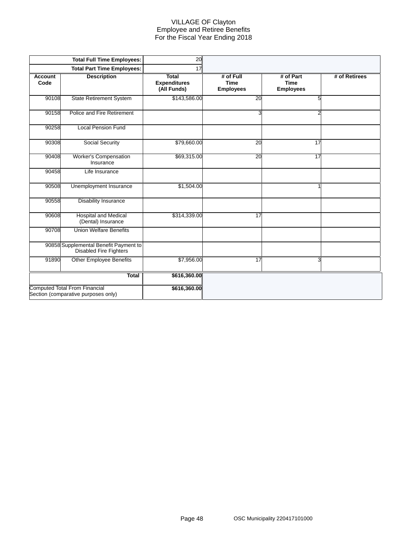#### VILLAGE OF Clayton Employee and Retiree Benefits For the Fiscal Year Ending 2018

|                        | <b>Total Full Time Employees:</b>                                           | 20                                                 |                                              |                                              |               |
|------------------------|-----------------------------------------------------------------------------|----------------------------------------------------|----------------------------------------------|----------------------------------------------|---------------|
|                        | <b>Total Part Time Employees:</b>                                           | 17                                                 |                                              |                                              |               |
| <b>Account</b><br>Code | <b>Description</b>                                                          | <b>Total</b><br><b>Expenditures</b><br>(All Funds) | # of Full<br><b>Time</b><br><b>Employees</b> | # of Part<br><b>Time</b><br><b>Employees</b> | # of Retirees |
| 90108                  | <b>State Retirement System</b>                                              | \$143,586.00                                       | 20                                           | 5                                            |               |
| 90158                  | Police and Fire Retirement                                                  |                                                    |                                              | 2                                            |               |
| 90258                  | <b>Local Pension Fund</b>                                                   |                                                    |                                              |                                              |               |
| 90308                  | Social Security                                                             | \$79,660.00                                        | 20                                           | 17                                           |               |
| 90408                  | Worker's Compensation<br>Insurance                                          | \$69,315.00                                        | 20                                           | 17                                           |               |
| 90458                  | Life Insurance                                                              |                                                    |                                              |                                              |               |
| 90508                  | Unemployment Insurance                                                      | \$1,504.00                                         |                                              | 4                                            |               |
| 90558                  | <b>Disability Insurance</b>                                                 |                                                    |                                              |                                              |               |
| 90608                  | <b>Hospital and Medical</b><br>(Dental) Insurance                           | \$314,339.00                                       | 17                                           |                                              |               |
| 90708                  | <b>Union Welfare Benefits</b>                                               |                                                    |                                              |                                              |               |
|                        | 90858 Supplemental Benefit Payment to<br>Disabled Fire Fighters             |                                                    |                                              |                                              |               |
| 91890                  | <b>Other Employee Benefits</b>                                              | \$7,956.00                                         | $\overline{17}$                              | 3                                            |               |
|                        | <b>Total</b>                                                                | \$616,360.00                                       |                                              |                                              |               |
|                        | <b>Computed Total From Financial</b><br>Section (comparative purposes only) | \$616,360.00                                       |                                              |                                              |               |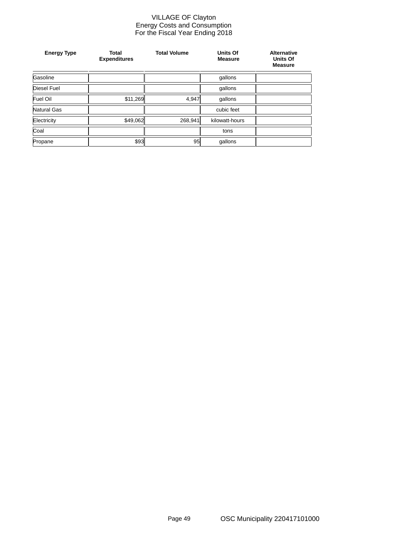#### VILLAGE OF Clayton Energy Costs and Consumption For the Fiscal Year Ending 2018

| <b>Energy Type</b> | <b>Total</b><br><b>Expenditures</b> | <b>Total Volume</b> | Units Of<br><b>Measure</b> | <b>Alternative</b><br><b>Units Of</b><br><b>Measure</b> |
|--------------------|-------------------------------------|---------------------|----------------------------|---------------------------------------------------------|
| Gasoline           |                                     |                     | gallons                    |                                                         |
| <b>Diesel Fuel</b> |                                     |                     | gallons                    |                                                         |
| Fuel Oil           | \$11,269                            | 4,947               | gallons                    |                                                         |
| <b>Natural Gas</b> |                                     |                     | cubic feet                 |                                                         |
| Electricity        | \$49,062                            | 268,941             | kilowatt-hours             |                                                         |
| Coal               |                                     |                     | tons                       |                                                         |
| Propane            | \$93                                | 95                  | gallons                    |                                                         |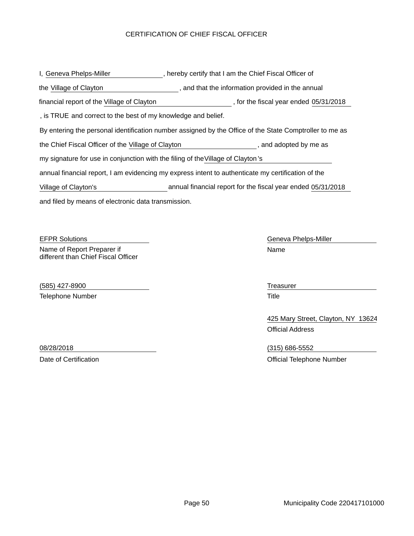# CERTIFICATION OF CHIEF FISCAL OFFICER

and filed by means of electronic data transmission. I, Geneva Phelps-Miller exceeding the restrict of the Chief Fiscal Officer of By entering the personal identification number assigned by the Office of the State Comptroller to me as the Village of Clayton **the information provided in the annual** that the information provided in the annual the Chief Fiscal Officer of the Village of Clayton **the Chief Chief Chief Chief Chief Chief Chief Chief Chief Chief Chief Chief Chief Chief Chief Chief Chief Chief Chief Chief Chief Chief Chief Chief Chief Chief Chief Chie** annual financial report, I am evidencing my express intent to authenticate my certification of the my signature for use in conjunction with the filing of the Village of Clayton's , is TRUE and correct to the best of my knowledge and belief. financial report of the Village of Clayton (in the fiscal year ended 05/31/2018) Village of Clayton's annual financial report for the fiscal year ended 05/31/2018

EFPR Solutions Geneva Phelps-Miller Name of Report Preparer if different than Chief Fiscal Officer

(585) 427-8900 Treasurer Telephone Number **Title** 

Name

425 Mary Street, Clayton, NY 13624 Official Address

08/28/2018 (315) 686-5552 Date of Certification **Date of Certification** Official Telephone Number